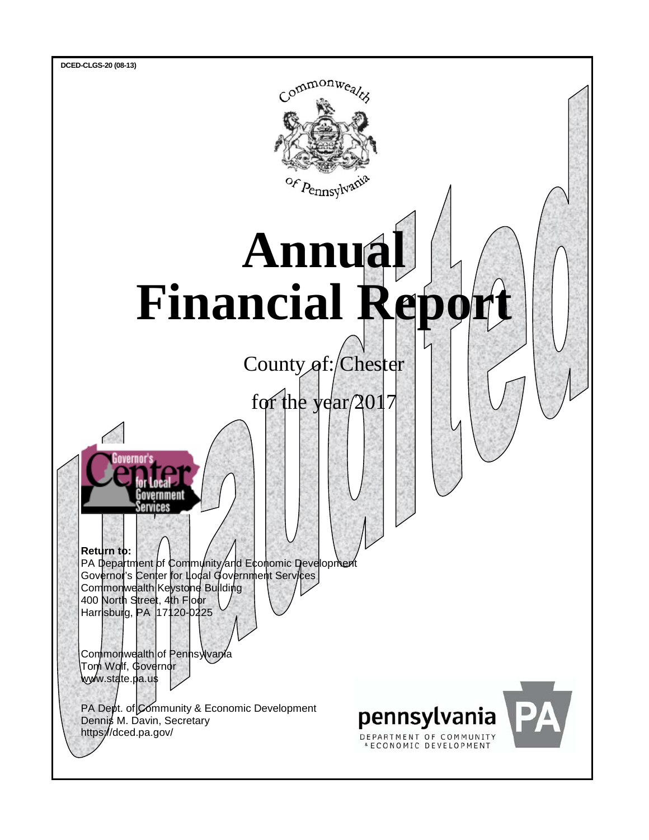

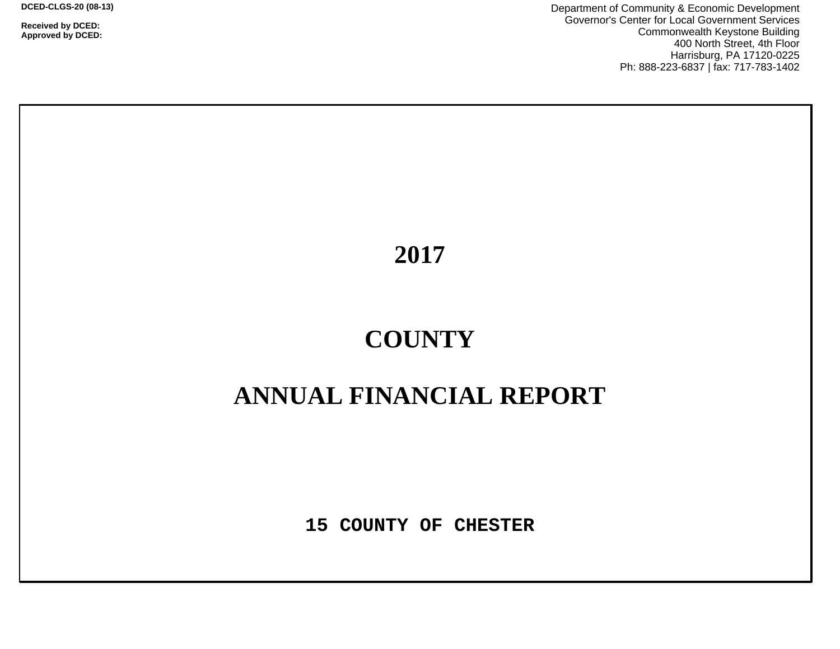**Received by DCED: Approved by DCED:**  Department of Community & Economic Development Governor's Center for Local Government Services Commonwealth Keystone Building 400 North Street, 4th Floor Harrisburg, PA 17120-0225 Ph: 888-223-6837 | fax: 717-783-1402

**2017**

# **COUNTY**

## **ANNUAL FINANCIAL REPORT**

**15 COUNTY OF CHESTER**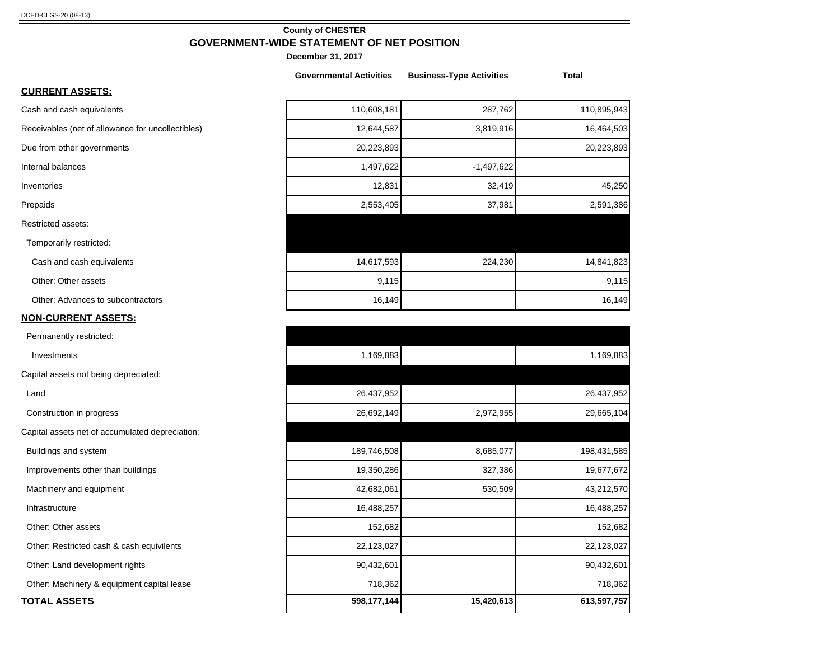#### **County of CHESTER GOVERNMENT-WIDE STATEMENT OF NET POSITION**

**December 31, 2017**

|                                                   | <b>Governmental Activities</b> | <b>Business-Type Activities</b> | <b>Total</b> |
|---------------------------------------------------|--------------------------------|---------------------------------|--------------|
| <b>CURRENT ASSETS:</b>                            |                                |                                 |              |
| Cash and cash equivalents                         | 110,608,181                    | 287,762                         | 110,895,943  |
| Receivables (net of allowance for uncollectibles) | 12,644,587                     | 3,819,916                       | 16,464,503   |
| Due from other governments                        | 20,223,893                     |                                 | 20,223,893   |
| Internal balances                                 | 1,497,622                      | $-1,497,622$                    |              |
| Inventories                                       | 12,831                         | 32,419                          | 45,250       |
| Prepaids                                          | 2,553,405                      | 37,981                          | 2,591,386    |
| Restricted assets:                                |                                |                                 |              |
| Temporarily restricted:                           |                                |                                 |              |
| Cash and cash equivalents                         | 14,617,593                     | 224,230                         | 14,841,823   |
| Other: Other assets                               | 9,115                          |                                 | 9,115        |
| Other: Advances to subcontractors                 | 16,149                         |                                 | 16,149       |

#### **NON-CURRENT ASSETS:**

| Permanently restricted:                         |             |            |             |
|-------------------------------------------------|-------------|------------|-------------|
| Investments                                     | 1,169,883   |            | 1,169,883   |
| Capital assets not being depreciated:           |             |            |             |
| Land                                            | 26,437,952  |            | 26,437,952  |
| Construction in progress                        | 26,692,149  | 2,972,955  | 29,665,104  |
| Capital assets net of accumulated depreciation: |             |            |             |
| Buildings and system                            | 189,746,508 | 8,685,077  | 198,431,585 |
| Improvements other than buildings               | 19,350,286  | 327,386    | 19,677,672  |
| Machinery and equipment                         | 42,682,061  | 530,509    | 43,212,570  |
| Infrastructure                                  | 16,488,257  |            | 16,488,257  |
| Other: Other assets                             | 152,682     |            | 152,682     |
| Other: Restricted cash & cash equivilents       | 22,123,027  |            | 22,123,027  |
| Other: Land development rights                  | 90,432,601  |            | 90,432,601  |
| Other: Machinery & equipment capital lease      | 718,362     |            | 718,362     |
| <b>TOTAL ASSETS</b>                             | 598,177,144 | 15,420,613 | 613,597,757 |
|                                                 |             |            |             |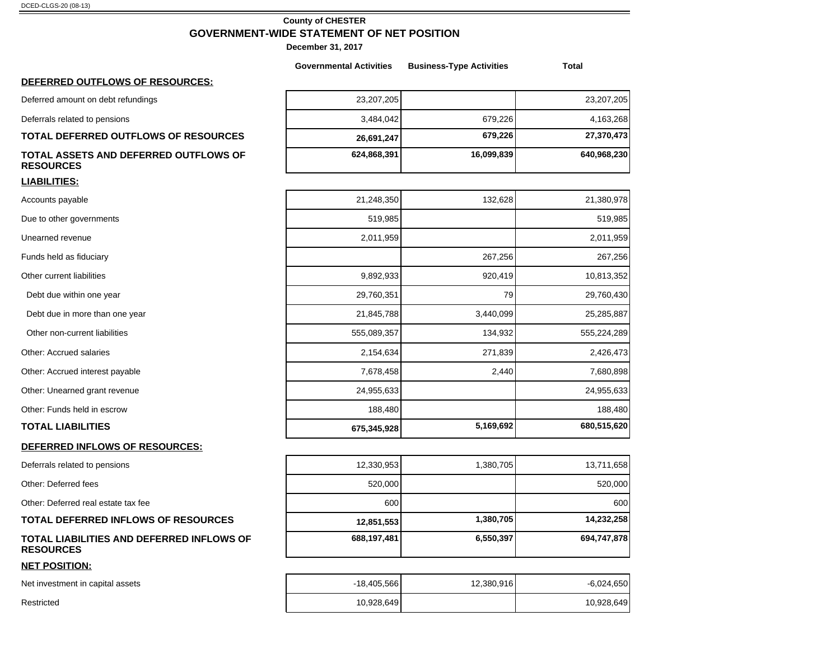#### **County of CHESTER GOVERNMENT-WIDE STATEMENT OF NET POSITION**

**December 31, 2017**

|                                                               | <b>Governmental Activities</b> | <b>Business-Type Activities</b> | Total        |
|---------------------------------------------------------------|--------------------------------|---------------------------------|--------------|
| DEFERRED OUTFLOWS OF RESOURCES:                               |                                |                                 |              |
| Deferred amount on debt refundings                            | 23,207,205                     |                                 | 23,207,205   |
| Deferrals related to pensions                                 | 3,484,042                      | 679,226                         | 4,163,268    |
| TOTAL DEFERRED OUTFLOWS OF RESOURCES                          | 26,691,247                     | 679,226                         | 27,370,473   |
| TOTAL ASSETS AND DEFERRED OUTFLOWS OF<br><b>RESOURCES</b>     | 624,868,391                    | 16,099,839                      | 640,968,230  |
| <b>LIABILITIES:</b>                                           |                                |                                 |              |
| Accounts payable                                              | 21,248,350                     | 132,628                         | 21,380,978   |
| Due to other governments                                      | 519,985                        |                                 | 519,985      |
| Unearned revenue                                              | 2,011,959                      |                                 | 2,011,959    |
| Funds held as fiduciary                                       |                                | 267,256                         | 267,256      |
| Other current liabilities                                     | 9,892,933                      | 920,419                         | 10,813,352   |
| Debt due within one year                                      | 29,760,351                     | 79                              | 29,760,430   |
| Debt due in more than one year                                | 21,845,788                     | 3,440,099                       | 25,285,887   |
| Other non-current liabilities                                 | 555,089,357                    | 134,932                         | 555,224,289  |
| Other: Accrued salaries                                       | 2,154,634                      | 271,839                         | 2,426,473    |
| Other: Accrued interest payable                               | 7,678,458                      | 2,440                           | 7,680,898    |
| Other: Unearned grant revenue                                 | 24,955,633                     |                                 | 24,955,633   |
| Other: Funds held in escrow                                   | 188,480                        |                                 | 188,480      |
| <b>TOTAL LIABILITIES</b>                                      | 675,345,928                    | 5,169,692                       | 680,515,620  |
| DEFERRED INFLOWS OF RESOURCES:                                |                                |                                 |              |
| Deferrals related to pensions                                 | 12,330,953                     | 1,380,705                       | 13,711,658   |
| Other: Deferred fees                                          | 520,000                        |                                 | 520,000      |
| Other: Deferred real estate tax fee                           | 600                            |                                 | 600          |
| <b>TOTAL DEFERRED INFLOWS OF RESOURCES</b>                    | 12,851,553                     | 1,380,705                       | 14,232,258   |
| TOTAL LIABILITIES AND DEFERRED INFLOWS OF<br><b>RESOURCES</b> | 688,197,481                    | 6,550,397                       | 694,747,878  |
| <b>NET POSITION:</b>                                          |                                |                                 |              |
| Net investment in capital assets                              | $-18,405,566$                  | 12,380,916                      | $-6,024,650$ |

Restricted 10,928,649 10,928,649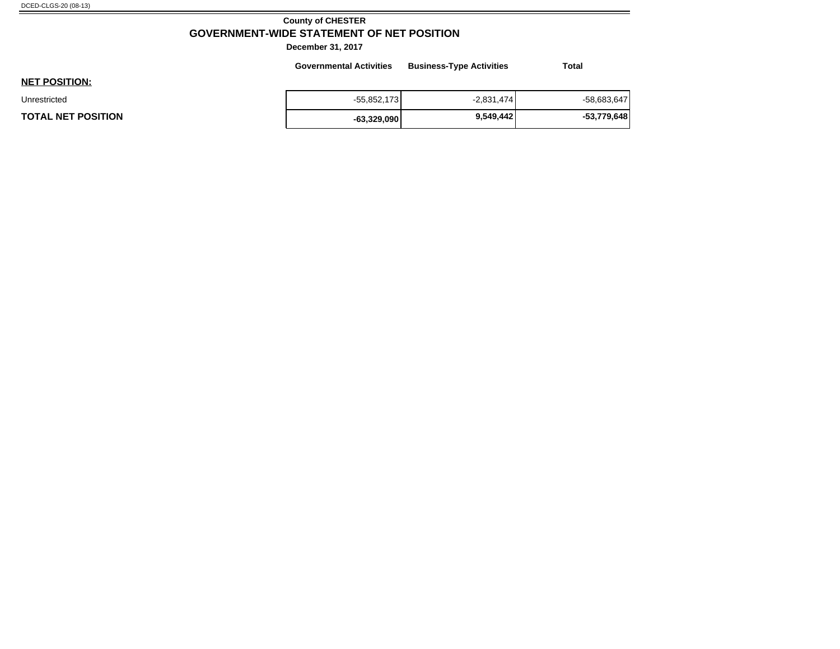#### **County of CHESTER GOVERNMENT-WIDE STATEMENT OF NET POSITION**

-

|                           | <b>Governmental Activities</b> | <b>Business-Type Activities</b> | <b>Total</b>  |
|---------------------------|--------------------------------|---------------------------------|---------------|
| <b>NET POSITION:</b>      |                                |                                 |               |
| Unrestricted              | $-55,852,173$                  | $-2,831,474$                    | $-58,683,647$ |
| <b>TOTAL NET POSITION</b> | $-63,329,090$                  | 9,549,442                       | -53,779,648   |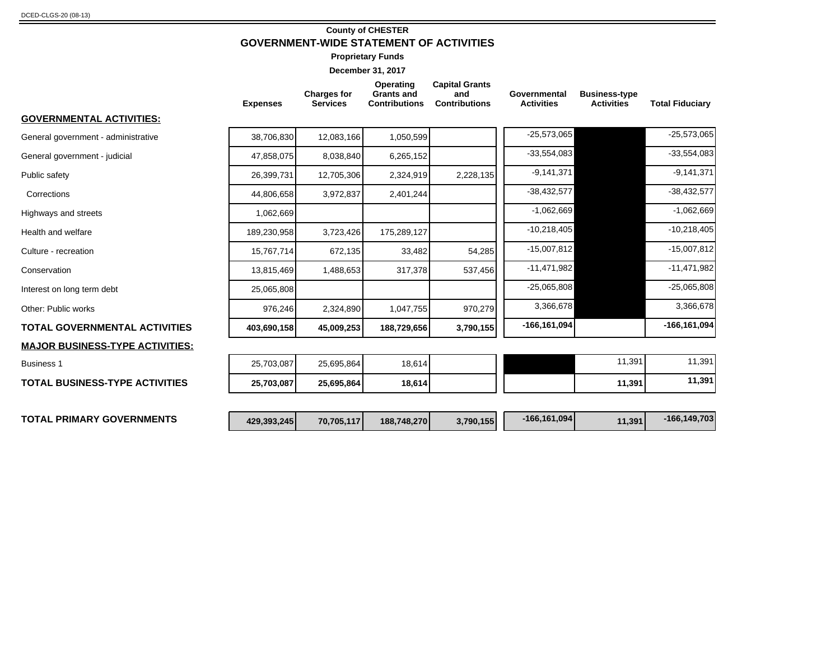#### **County of CHESTER GOVERNMENT-WIDE STATEMENT OF ACTIVITIES**

**Proprietary Funds**

| <b>Expenses</b> | <b>Charges for</b><br><b>Services</b> | Operating<br><b>Grants and</b><br><b>Contributions</b> | <b>Capital Grants</b><br>and<br><b>Contributions</b> | Governmental<br><b>Activities</b> | <b>Business-type</b><br><b>Activities</b> | <b>Total Fiduciary</b>                                                 |
|-----------------|---------------------------------------|--------------------------------------------------------|------------------------------------------------------|-----------------------------------|-------------------------------------------|------------------------------------------------------------------------|
|                 |                                       |                                                        |                                                      |                                   |                                           |                                                                        |
| 38,706,830      | 12,083,166                            | 1,050,599                                              |                                                      | $-25,573,065$                     |                                           | $-25,573,065$                                                          |
| 47,858,075      | 8,038,840                             | 6,265,152                                              |                                                      |                                   |                                           | $-33,554,083$                                                          |
| 26,399,731      | 12,705,306                            | 2,324,919                                              | 2,228,135                                            | $-9,141,371$                      |                                           | $-9, 141, 371$                                                         |
| 44.806.658      | 3,972,837                             | 2,401,244                                              |                                                      | $-38,432,577$                     |                                           | $-38,432,577$                                                          |
| 1,062,669       |                                       |                                                        |                                                      | $-1,062,669$                      |                                           | $-1,062,669$                                                           |
| 189,230,958     | 3,723,426                             | 175,289,127                                            |                                                      | $-10,218,405$                     |                                           | $-10,218,405$                                                          |
| 15,767,714      | 672,135                               | 33,482                                                 | 54,285                                               |                                   |                                           | $-15,007,812$                                                          |
| 13,815,469      | 1,488,653                             | 317,378                                                | 537,456                                              | $-11,471,982$                     |                                           | $-11,471,982$                                                          |
| 25,065,808      |                                       |                                                        |                                                      |                                   |                                           | $-25,065,808$                                                          |
| 976,246         | 2,324,890                             |                                                        | 970,279                                              |                                   |                                           | 3,366,678                                                              |
| 403,690,158     | 45,009,253                            | 188,729,656                                            | 3,790,155                                            | $-166, 161, 094$                  |                                           | $-166, 161, 094$                                                       |
|                 |                                       |                                                        |                                                      |                                   |                                           |                                                                        |
| 25,703,087      | 25,695,864                            | 18,614                                                 |                                                      |                                   | 11,391                                    | 11,391                                                                 |
| 25,703,087      | 25,695,864                            | 18,614                                                 |                                                      |                                   | 11,391                                    | 11,391                                                                 |
| 429,393,245     | 70,705,117                            |                                                        | 3,790,155                                            | $-166, 161, 094$                  |                                           | $-166, 149, 703$                                                       |
|                 |                                       |                                                        |                                                      | 1,047,755<br>188,748,270          |                                           | $-33,554,083$<br>$-15,007,812$<br>$-25,065,808$<br>3,366,678<br>11,391 |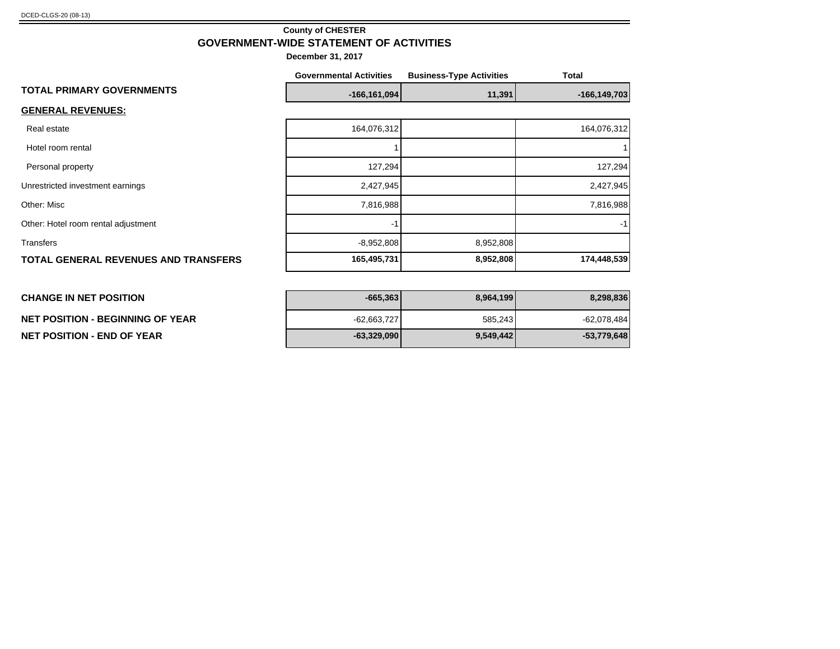**NET POSITION - BEGINNING OF YEAR** 

**NET POSITION - END OF YEAR -63,329,090 9,549,442 -53,779,648**

#### **County of CHESTER GOVERNMENT-WIDE STATEMENT OF ACTIVITIES**

|                                             | <b>Governmental Activities</b> | <b>Business-Type Activities</b> | <b>Total</b>     |
|---------------------------------------------|--------------------------------|---------------------------------|------------------|
| <b>TOTAL PRIMARY GOVERNMENTS</b>            | $-166, 161, 094$               | 11,391                          | $-166, 149, 703$ |
| <b>GENERAL REVENUES:</b>                    |                                |                                 |                  |
| Real estate                                 | 164,076,312                    |                                 | 164,076,312      |
| Hotel room rental                           |                                |                                 |                  |
| Personal property                           | 127,294                        |                                 | 127,294          |
| Unrestricted investment earnings            | 2,427,945                      |                                 | 2,427,945        |
| Other: Misc                                 | 7,816,988                      |                                 | 7,816,988        |
| Other: Hotel room rental adjustment         | $-1$                           |                                 | -1               |
| Transfers                                   | $-8,952,808$                   | 8,952,808                       |                  |
| <b>TOTAL GENERAL REVENUES AND TRANSFERS</b> | 165,495,731                    | 8,952,808                       | 174,448,539      |
|                                             |                                |                                 |                  |
| <b>CHANGE IN NET POSITION</b>               | $-665,363$                     | 8,964,199                       | 8,298,836        |

| $-665,363$    | 8,964,199 | 8,298,836     |
|---------------|-----------|---------------|
| $-62,663,727$ | 585,243   | $-62,078,484$ |
| $-63,329,090$ | 9,549,442 | $-53,779,648$ |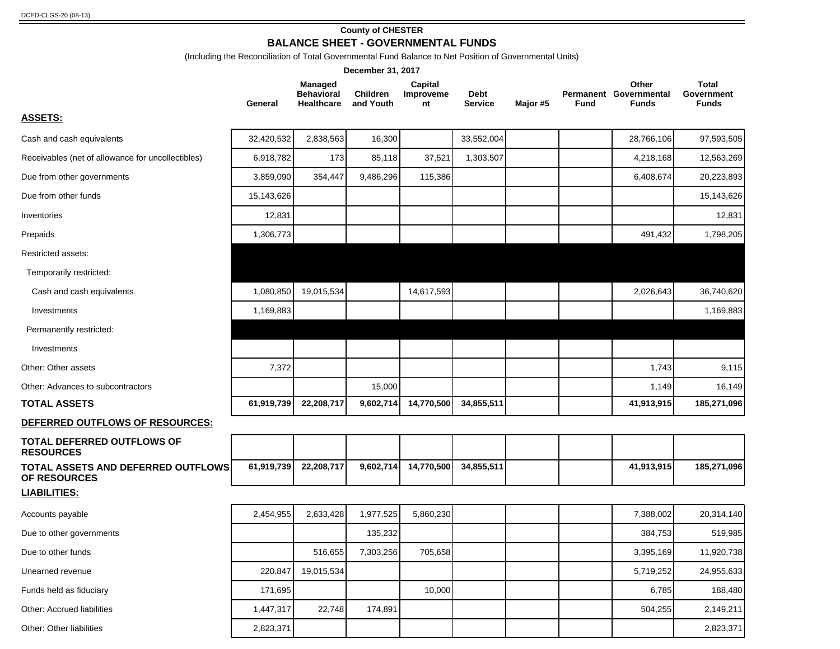#### **County of CHESTER**

**BALANCE SHEET - GOVERNMENTAL FUNDS**

(Including the Reconciliation of Total Governmental Fund Balance to Net Position of Governmental Units)

| December 31, 2017                                                |            |                                                          |                              |                            |                        |          |      |                                                 |                                     |
|------------------------------------------------------------------|------------|----------------------------------------------------------|------------------------------|----------------------------|------------------------|----------|------|-------------------------------------------------|-------------------------------------|
|                                                                  | General    | <b>Managed</b><br><b>Behavioral</b><br><b>Healthcare</b> | <b>Children</b><br>and Youth | Capital<br>Improveme<br>nt | Debt<br><b>Service</b> | Major #5 | Fund | Other<br>Permanent Governmental<br><b>Funds</b> | Total<br>Government<br><b>Funds</b> |
| <b>ASSETS:</b>                                                   |            |                                                          |                              |                            |                        |          |      |                                                 |                                     |
| Cash and cash equivalents                                        | 32,420,532 | 2,838,563                                                | 16,300                       |                            | 33,552,004             |          |      | 28,766,106                                      | 97,593,505                          |
| Receivables (net of allowance for uncollectibles)                | 6,918,782  | 173                                                      | 85,118                       | 37,521                     | 1,303,507              |          |      | 4,218,168                                       | 12,563,269                          |
| Due from other governments                                       | 3,859,090  | 354,447                                                  | 9,486,296                    | 115,386                    |                        |          |      | 6,408,674                                       | 20,223,893                          |
| Due from other funds                                             | 15,143,626 |                                                          |                              |                            |                        |          |      |                                                 | 15,143,626                          |
| Inventories                                                      | 12,831     |                                                          |                              |                            |                        |          |      |                                                 | 12,831                              |
| Prepaids                                                         | 1,306,773  |                                                          |                              |                            |                        |          |      | 491,432                                         | 1,798,205                           |
| Restricted assets:                                               |            |                                                          |                              |                            |                        |          |      |                                                 |                                     |
| Temporarily restricted:                                          |            |                                                          |                              |                            |                        |          |      |                                                 |                                     |
| Cash and cash equivalents                                        | 1,080,850  | 19,015,534                                               |                              | 14,617,593                 |                        |          |      | 2,026,643                                       | 36,740,620                          |
| Investments                                                      | 1,169,883  |                                                          |                              |                            |                        |          |      |                                                 | 1,169,883                           |
| Permanently restricted:                                          |            |                                                          |                              |                            |                        |          |      |                                                 |                                     |
| Investments                                                      |            |                                                          |                              |                            |                        |          |      |                                                 |                                     |
| Other: Other assets                                              | 7,372      |                                                          |                              |                            |                        |          |      | 1,743                                           | 9,115                               |
| Other: Advances to subcontractors                                |            |                                                          | 15,000                       |                            |                        |          |      | 1,149                                           | 16,149                              |
| <b>TOTAL ASSETS</b>                                              | 61,919,739 | 22,208,717                                               | 9,602,714                    | 14,770,500                 | 34,855,511             |          |      | 41,913,915                                      | 185,271,096                         |
| DEFERRED OUTFLOWS OF RESOURCES:                                  |            |                                                          |                              |                            |                        |          |      |                                                 |                                     |
| <b>TOTAL DEFERRED OUTFLOWS OF</b><br><b>RESOURCES</b>            |            |                                                          |                              |                            |                        |          |      |                                                 |                                     |
| <b>TOTAL ASSETS AND DEFERRED OUTFLOWS</b><br><b>OF RESOURCES</b> | 61,919,739 | 22,208,717                                               | 9,602,714                    | 14,770,500                 | 34,855,511             |          |      | 41,913,915                                      | 185,271,096                         |
| <b>LIABILITIES:</b>                                              |            |                                                          |                              |                            |                        |          |      |                                                 |                                     |
| Accounts payable                                                 | 2,454,955  | 2,633,428                                                | 1,977,525                    | 5,860,230                  |                        |          |      | 7,388,002                                       | 20,314,140                          |
| Due to other governments                                         |            |                                                          | 135,232                      |                            |                        |          |      | 384,753                                         | 519,985                             |
| Due to other funds                                               |            | 516,655                                                  | 7,303,256                    | 705,658                    |                        |          |      | 3,395,169                                       | 11,920,738                          |
| Unearned revenue                                                 | 220,847    | 19,015,534                                               |                              |                            |                        |          |      | 5,719,252                                       | 24,955,633                          |
| Funds held as fiduciary                                          | 171,695    |                                                          |                              | 10,000                     |                        |          |      | 6,785                                           | 188,480                             |
| Other: Accrued liabilities                                       | 1,447,317  | 22,748                                                   | 174,891                      |                            |                        |          |      | 504,255                                         | 2,149,211                           |
| Other: Other liabilities                                         | 2,823,371  |                                                          |                              |                            |                        |          |      |                                                 | 2,823,371                           |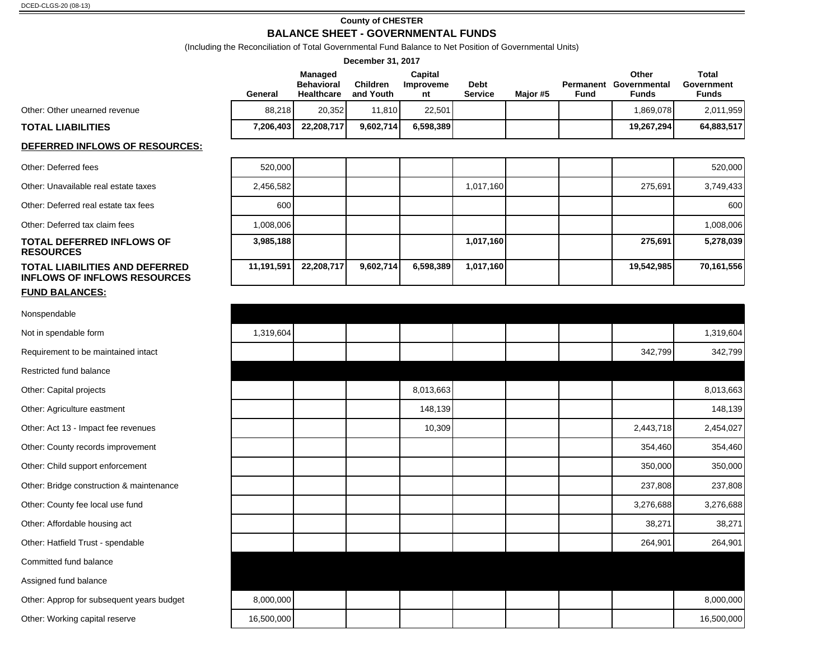#### **County of CHESTER**

#### **BALANCE SHEET - GOVERNMENTAL FUNDS**

(Including the Reconciliation of Total Governmental Fund Balance to Net Position of Governmental Units)

| (including the Reconciliation of Total Governmental Fund Balance to Net Position of Governmental Units)<br>December 31, 2017 |            |                                                   |                              |                            |                               |          |             |                                                 |                                            |
|------------------------------------------------------------------------------------------------------------------------------|------------|---------------------------------------------------|------------------------------|----------------------------|-------------------------------|----------|-------------|-------------------------------------------------|--------------------------------------------|
|                                                                                                                              | General    | Managed<br><b>Behavioral</b><br><b>Healthcare</b> | <b>Children</b><br>and Youth | Capital<br>Improveme<br>nt | <b>Debt</b><br><b>Service</b> | Major #5 | <b>Fund</b> | Other<br>Permanent Governmental<br><b>Funds</b> | <b>Total</b><br>Government<br><b>Funds</b> |
| Other: Other unearned revenue                                                                                                | 88,218     | 20,352                                            | 11,810                       | 22,501                     |                               |          |             | 1,869,078                                       | 2,011,959                                  |
| <b>TOTAL LIABILITIES</b>                                                                                                     | 7,206,403  | 22,208,717                                        | 9,602,714                    | 6,598,389                  |                               |          |             | 19,267,294                                      | 64,883,517                                 |
| DEFERRED INFLOWS OF RESOURCES:                                                                                               |            |                                                   |                              |                            |                               |          |             |                                                 |                                            |
| Other: Deferred fees                                                                                                         | 520,000    |                                                   |                              |                            |                               |          |             |                                                 | 520,000                                    |
| Other: Unavailable real estate taxes                                                                                         | 2,456,582  |                                                   |                              |                            | 1,017,160                     |          |             | 275,691                                         | 3,749,433                                  |
| Other: Deferred real estate tax fees                                                                                         | 600        |                                                   |                              |                            |                               |          |             |                                                 | 600                                        |
| Other: Deferred tax claim fees                                                                                               | 1,008,006  |                                                   |                              |                            |                               |          |             |                                                 | 1,008,006                                  |
| TOTAL DEFERRED INFLOWS OF<br><b>RESOURCES</b>                                                                                | 3,985,188  |                                                   |                              |                            | 1,017,160                     |          |             | 275,691                                         | 5,278,039                                  |
| <b>TOTAL LIABILITIES AND DEFERRED</b><br><b>INFLOWS OF INFLOWS RESOURCES</b>                                                 | 11,191,591 | 22,208,717                                        | 9,602,714                    | 6,598,389                  | 1,017,160                     |          |             | 19,542,985                                      | 70,161,556                                 |
| <b>FUND BALANCES:</b>                                                                                                        |            |                                                   |                              |                            |                               |          |             |                                                 |                                            |
| Nonspendable                                                                                                                 |            |                                                   |                              |                            |                               |          |             |                                                 |                                            |
| Not in spendable form                                                                                                        | 1,319,604  |                                                   |                              |                            |                               |          |             |                                                 | 1,319,604                                  |
| Requirement to be maintained intact                                                                                          |            |                                                   |                              |                            |                               |          |             | 342,799                                         | 342,799                                    |
| Restricted fund balance                                                                                                      |            |                                                   |                              |                            |                               |          |             |                                                 |                                            |
| Other: Capital projects                                                                                                      |            |                                                   |                              | 8,013,663                  |                               |          |             |                                                 | 8,013,663                                  |
| Other: Agriculture eastment                                                                                                  |            |                                                   |                              | 148,139                    |                               |          |             |                                                 | 148,139                                    |
| Other: Act 13 - Impact fee revenues                                                                                          |            |                                                   |                              | 10,309                     |                               |          |             | 2,443,718                                       | 2,454,027                                  |
| Other: County records improvement                                                                                            |            |                                                   |                              |                            |                               |          |             | 354,460                                         | 354,460                                    |
| Other: Child support enforcement                                                                                             |            |                                                   |                              |                            |                               |          |             | 350,000                                         | 350,000                                    |
| Other: Bridge construction & maintenance                                                                                     |            |                                                   |                              |                            |                               |          |             | 237,808                                         | 237,808                                    |
| Other: County fee local use fund                                                                                             |            |                                                   |                              |                            |                               |          |             | 3,276,688                                       | 3,276,688                                  |
| Other: Affordable housing act                                                                                                |            |                                                   |                              |                            |                               |          |             | 38,271                                          | 38,271                                     |
| Other: Hatfield Trust - spendable                                                                                            |            |                                                   |                              |                            |                               |          |             | 264,901                                         | 264,901                                    |
| Committed fund balance                                                                                                       |            |                                                   |                              |                            |                               |          |             |                                                 |                                            |
| Assigned fund balance                                                                                                        |            |                                                   |                              |                            |                               |          |             |                                                 |                                            |
| Other: Approp for subsequent years budget                                                                                    | 8,000,000  |                                                   |                              |                            |                               |          |             |                                                 | 8,000,000                                  |
| Other: Working capital reserve                                                                                               | 16,500,000 |                                                   |                              |                            |                               |          |             |                                                 | 16,500,000                                 |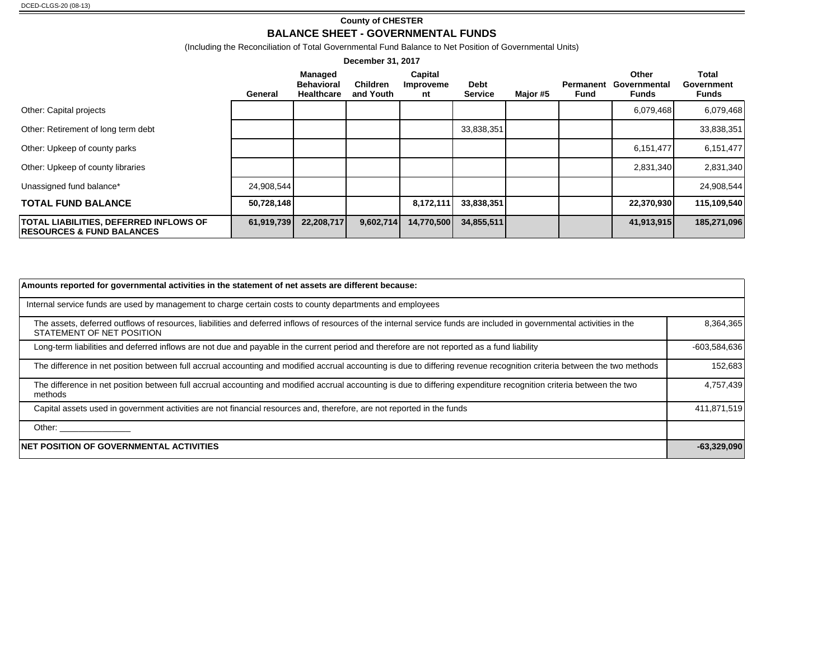#### **County of CHESTER**

#### **BALANCE SHEET - GOVERNMENTAL FUNDS**

(Including the Reconciliation of Total Governmental Fund Balance to Net Position of Governmental Units)

| December 31, 2017                                                                      |            |                                            |                              |                            |                               |          |                          |                                |                                            |
|----------------------------------------------------------------------------------------|------------|--------------------------------------------|------------------------------|----------------------------|-------------------------------|----------|--------------------------|--------------------------------|--------------------------------------------|
|                                                                                        | General    | Managed<br><b>Behavioral</b><br>Healthcare | <b>Children</b><br>and Youth | Capital<br>Improveme<br>nt | <b>Debt</b><br><b>Service</b> | Major #5 | Permanent<br><b>Fund</b> | Other<br>Governmental<br>Funds | <b>Total</b><br>Government<br><b>Funds</b> |
| Other: Capital projects                                                                |            |                                            |                              |                            |                               |          |                          | 6,079,468                      | 6,079,468                                  |
| Other: Retirement of long term debt                                                    |            |                                            |                              |                            | 33,838,351                    |          |                          |                                | 33,838,351                                 |
| Other: Upkeep of county parks                                                          |            |                                            |                              |                            |                               |          |                          | 6,151,477                      | 6,151,477                                  |
| Other: Upkeep of county libraries                                                      |            |                                            |                              |                            |                               |          |                          | 2,831,340                      | 2,831,340                                  |
| Unassigned fund balance*                                                               | 24,908,544 |                                            |                              |                            |                               |          |                          |                                | 24,908,544                                 |
| <b>TOTAL FUND BALANCE</b>                                                              | 50,728,148 |                                            |                              | 8,172,111                  | 33,838,351                    |          |                          | 22,370,930                     | 115,109,540                                |
| <b>TOTAL LIABILITIES, DEFERRED INFLOWS OF</b><br><b>IRESOURCES &amp; FUND BALANCES</b> | 61,919,739 | 22,208,717                                 | 9,602,714                    | 14,770,500                 | 34,855,511                    |          |                          | 41,913,915                     | 185,271,096                                |

| Amounts reported for governmental activities in the statement of net assets are different because:                                                                                                  |                |
|-----------------------------------------------------------------------------------------------------------------------------------------------------------------------------------------------------|----------------|
| Internal service funds are used by management to charge certain costs to county departments and employees                                                                                           |                |
| The assets, deferred outflows of resources, liabilities and deferred inflows of resources of the internal service funds are included in governmental activities in the<br>STATEMENT OF NET POSITION | 8,364,365      |
| Long-term liabilities and deferred inflows are not due and payable in the current period and therefore are not reported as a fund liability                                                         | $-603,584,636$ |
| The difference in net position between full accrual accounting and modified accrual accounting is due to differing revenue recognition criteria between the two methods                             | 152,683        |
| The difference in net position between full accrual accounting and modified accrual accounting is due to differing expenditure recognition criteria between the two<br>methods                      | 4,757,439      |
| Capital assets used in government activities are not financial resources and, therefore, are not reported in the funds                                                                              | 411,871,519    |
| Other: ____________                                                                                                                                                                                 |                |
| <b>NET POSITION OF GOVERNMENTAL ACTIVITIES</b>                                                                                                                                                      | $-63,329,090$  |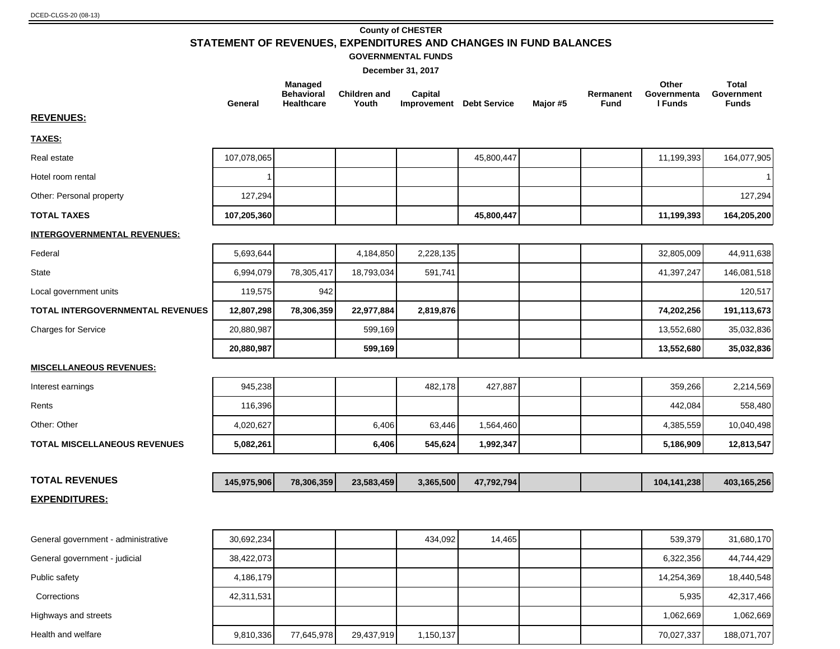#### **County of CHESTER STATEMENT OF REVENUES, EXPENDITURES AND CHANGES IN FUND BALANCES GOVERNMENTAL FUNDS**

|                                     | General     | <b>Managed</b><br><b>Behavioral</b><br>Healthcare | <b>Children and</b><br>Youth | <b>Capital</b><br>Improvement Debt Service |            | Major #5 | Rermanent<br><b>Fund</b> | Other<br>Governmenta<br>I Funds | <b>Total</b><br>Government<br><b>Funds</b> |
|-------------------------------------|-------------|---------------------------------------------------|------------------------------|--------------------------------------------|------------|----------|--------------------------|---------------------------------|--------------------------------------------|
| <b>REVENUES:</b>                    |             |                                                   |                              |                                            |            |          |                          |                                 |                                            |
| <b>TAXES:</b>                       |             |                                                   |                              |                                            |            |          |                          |                                 |                                            |
| Real estate                         | 107,078,065 |                                                   |                              |                                            | 45,800,447 |          |                          | 11,199,393                      | 164,077,905                                |
| Hotel room rental                   |             |                                                   |                              |                                            |            |          |                          |                                 | $\mathbf{1}$                               |
| Other: Personal property            | 127,294     |                                                   |                              |                                            |            |          |                          |                                 | 127,294                                    |
| <b>TOTAL TAXES</b>                  | 107,205,360 |                                                   |                              |                                            | 45,800,447 |          |                          | 11,199,393                      | 164,205,200                                |
| <b>INTERGOVERNMENTAL REVENUES:</b>  |             |                                                   |                              |                                            |            |          |                          |                                 |                                            |
| Federal                             | 5,693,644   |                                                   | 4,184,850                    | 2,228,135                                  |            |          |                          | 32,805,009                      | 44,911,638                                 |
| <b>State</b>                        | 6,994,079   | 78,305,417                                        | 18,793,034                   | 591,741                                    |            |          |                          | 41,397,247                      | 146,081,518                                |
| Local government units              | 119,575     | 942                                               |                              |                                            |            |          |                          |                                 | 120,517                                    |
| TOTAL INTERGOVERNMENTAL REVENUES    | 12,807,298  | 78,306,359                                        | 22,977,884                   | 2,819,876                                  |            |          |                          | 74,202,256                      | 191,113,673                                |
| <b>Charges for Service</b>          | 20,880,987  |                                                   | 599,169                      |                                            |            |          |                          | 13,552,680                      | 35,032,836                                 |
|                                     | 20,880,987  |                                                   | 599,169                      |                                            |            |          |                          | 13,552,680                      | 35,032,836                                 |
| <b>MISCELLANEOUS REVENUES:</b>      |             |                                                   |                              |                                            |            |          |                          |                                 |                                            |
| Interest earnings                   | 945,238     |                                                   |                              | 482,178                                    | 427,887    |          |                          | 359,266                         | 2,214,569                                  |
| Rents                               | 116,396     |                                                   |                              |                                            |            |          |                          | 442,084                         | 558,480                                    |
| Other: Other                        | 4,020,627   |                                                   | 6,406                        | 63,446                                     | 1,564,460  |          |                          | 4,385,559                       | 10,040,498                                 |
| <b>TOTAL MISCELLANEOUS REVENUES</b> | 5,082,261   |                                                   | 6,406                        | 545,624                                    | 1,992,347  |          |                          | 5,186,909                       | 12,813,547                                 |
|                                     |             |                                                   |                              |                                            |            |          |                          |                                 |                                            |
| <b>TOTAL REVENUES</b>               | 145,975,906 | 78,306,359                                        | 23,583,459                   | 3,365,500                                  | 47,792,794 |          |                          | 104,141,238                     | 403,165,256                                |
| <b>EXPENDITURES:</b>                |             |                                                   |                              |                                            |            |          |                          |                                 |                                            |

| General government - administrative | 30,692,234 |            |            | 434.092   | 14.465 |  | 539.379    | 31,680,170  |
|-------------------------------------|------------|------------|------------|-----------|--------|--|------------|-------------|
| General government - judicial       | 38,422,073 |            |            |           |        |  | 6,322,356  | 44,744,429  |
| Public safety                       | 4,186,179  |            |            |           |        |  | 14.254.369 | 18,440,548  |
| Corrections                         | 42,311,531 |            |            |           |        |  | 5,935      | 42,317,466  |
| Highways and streets                |            |            |            |           |        |  | 1.062.669  | 1,062,669   |
| Health and welfare                  | 9,810,336  | 77,645,978 | 29,437,919 | 1,150,137 |        |  | 70,027,337 | 188,071,707 |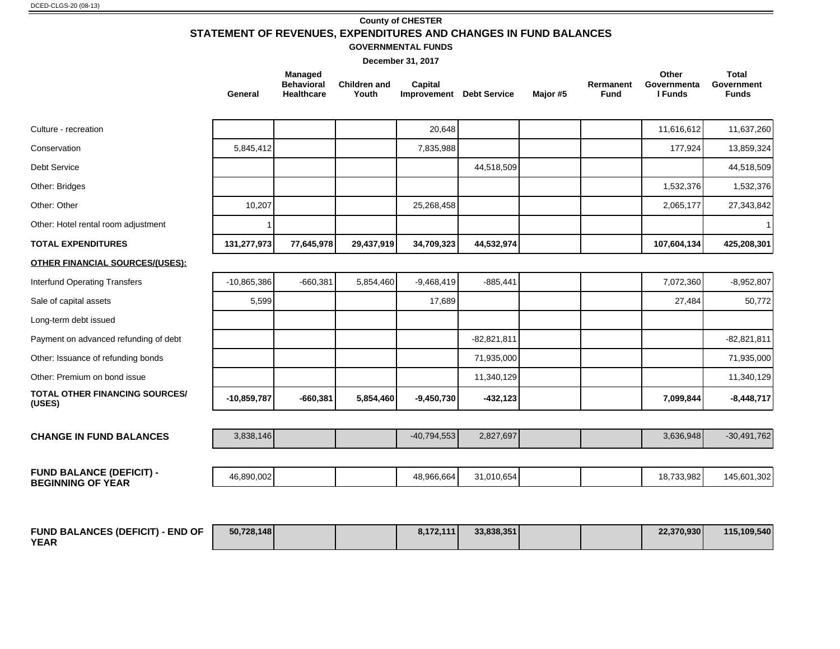#### **County of CHESTER STATEMENT OF REVENUES, EXPENDITURES AND CHANGES IN FUND BALANCES**

#### **GOVERNMENTAL FUNDS**

|                                                             | General       | <b>Managed</b><br><b>Behavioral</b><br><b>Healthcare</b> | <b>Children and</b><br>Youth | Capital<br>Improvement Debt Service |               | Major #5 | Rermanent<br><b>Fund</b> | Other<br>Governmenta<br>I Funds | <b>Total</b><br>Government<br><b>Funds</b> |
|-------------------------------------------------------------|---------------|----------------------------------------------------------|------------------------------|-------------------------------------|---------------|----------|--------------------------|---------------------------------|--------------------------------------------|
| Culture - recreation                                        |               |                                                          |                              | 20,648                              |               |          |                          | 11,616,612                      | 11,637,260                                 |
| Conservation                                                | 5,845,412     |                                                          |                              | 7,835,988                           |               |          |                          | 177,924                         | 13,859,324                                 |
| Debt Service                                                |               |                                                          |                              |                                     | 44,518,509    |          |                          |                                 | 44,518,509                                 |
| Other: Bridges                                              |               |                                                          |                              |                                     |               |          |                          | 1,532,376                       | 1,532,376                                  |
| Other: Other                                                | 10,207        |                                                          |                              | 25,268,458                          |               |          |                          | 2,065,177                       | 27,343,842                                 |
| Other: Hotel rental room adjustment                         |               |                                                          |                              |                                     |               |          |                          |                                 | $\mathbf{1}$                               |
| <b>TOTAL EXPENDITURES</b>                                   | 131,277,973   | 77,645,978                                               | 29,437,919                   | 34,709,323                          | 44,532,974    |          |                          | 107,604,134                     | 425,208,301                                |
| <b>OTHER FINANCIAL SOURCES/(USES):</b>                      |               |                                                          |                              |                                     |               |          |                          |                                 |                                            |
| <b>Interfund Operating Transfers</b>                        | $-10,865,386$ | $-660,381$                                               | 5,854,460                    | $-9,468,419$                        | $-885,441$    |          |                          | 7,072,360                       | $-8,952,807$                               |
| Sale of capital assets                                      | 5,599         |                                                          |                              | 17,689                              |               |          |                          | 27,484                          | 50,772                                     |
| Long-term debt issued                                       |               |                                                          |                              |                                     |               |          |                          |                                 |                                            |
| Payment on advanced refunding of debt                       |               |                                                          |                              |                                     | $-82,821,811$ |          |                          |                                 | $-82,821,811$                              |
| Other: Issuance of refunding bonds                          |               |                                                          |                              |                                     | 71,935,000    |          |                          |                                 | 71,935,000                                 |
| Other: Premium on bond issue                                |               |                                                          |                              |                                     | 11,340,129    |          |                          |                                 | 11,340,129                                 |
| <b>TOTAL OTHER FINANCING SOURCES/</b><br>(USES)             | $-10,859,787$ | $-660,381$                                               | 5,854,460                    | $-9,450,730$                        | $-432, 123$   |          |                          | 7,099,844                       | $-8,448,717$                               |
| <b>CHANGE IN FUND BALANCES</b>                              | 3,838,146     |                                                          |                              | $-40,794,553$                       | 2,827,697     |          |                          | 3,636,948                       | $-30,491,762$                              |
|                                                             |               |                                                          |                              |                                     |               |          |                          |                                 |                                            |
| <b>FUND BALANCE (DEFICIT) -</b><br><b>BEGINNING OF YEAR</b> | 46,890,002    |                                                          |                              | 48,966,664                          | 31,010,654    |          |                          | 18,733,982                      | 145,601,302                                |
|                                                             |               |                                                          |                              |                                     |               |          |                          |                                 |                                            |

| <b>FUND BALANCES (DEFICIT) - END OF</b> | 50,728,148 |  | 8.172.111 | 33,838,351 |  | 22.370.930 | 115,109,540 |
|-----------------------------------------|------------|--|-----------|------------|--|------------|-------------|
| <b>YEAR</b>                             |            |  |           |            |  |            |             |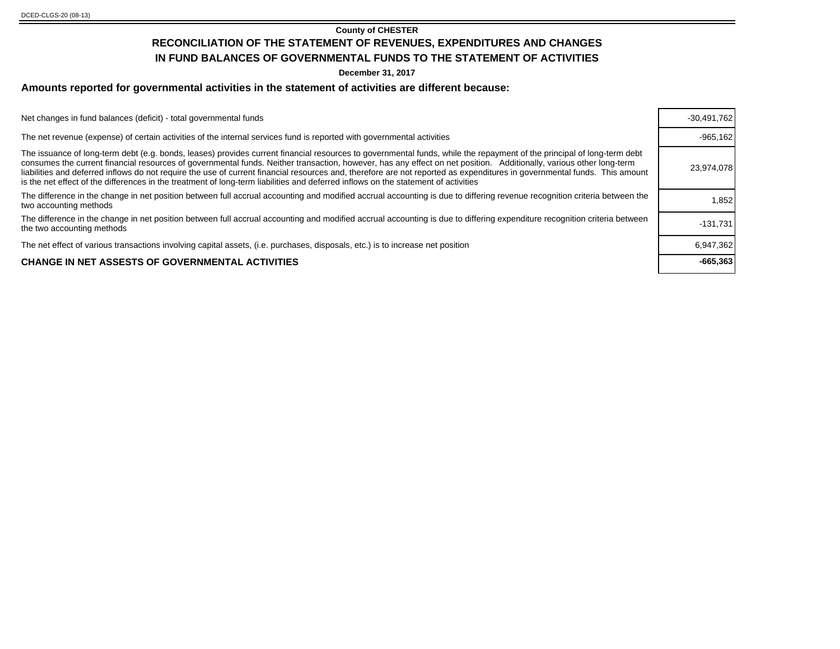#### **County of CHESTER RECONCILIATION OF THE STATEMENT OF REVENUES, EXPENDITURES AND CHANGES IN FUND BALANCES OF GOVERNMENTAL FUNDS TO THE STATEMENT OF ACTIVITIES**

**December 31, 2017**

#### **Amounts reported for governmental activities in the statement of activities are different because:**

Net changes in fund balances (deficit) - total governmental funds

The net revenue (expense) of certain activities of the internal services fund is reported with governmental activities

The issuance of long-term debt (e.g. bonds, leases) provides current financial resources to governmental funds, while the repayment of the principal of long-term debt consumes the current financial resources of governmental funds. Neither transaction, however, has any effect on net position. Additionally, various other long-term liabilities and deferred inflows do not require the use of current financial resources and, therefore are not reported as expenditures in governmental funds. This amount is the net effect of the differences in the treatment of long-term liabilities and deferred inflows on the statement of activities The difference in the change in net position between full accrual accounting and modified accrual accounting is due to differing revenue recognition criteria between the **the community of the community** of the community of

The difference in the change in net position between full accrual accounting and modified accrual accounting is due to differing expenditure recognition criteria between [131,731]<br>the two accounting methods

The net effect of various transactions involving capital assets, (i.e. purchases, disposals, etc.) is to increase net position

#### **CHANGE IN NET ASSESTS OF GOVERNMENTAL ACTIVITIES -665,363**

| $-30,491,762$<br>$-965, 162$<br>23,974,078<br>1.852<br>$-131,731$<br>6,947,362<br>$-665,363$ |  |
|----------------------------------------------------------------------------------------------|--|
|                                                                                              |  |
|                                                                                              |  |
|                                                                                              |  |
|                                                                                              |  |
|                                                                                              |  |
|                                                                                              |  |
|                                                                                              |  |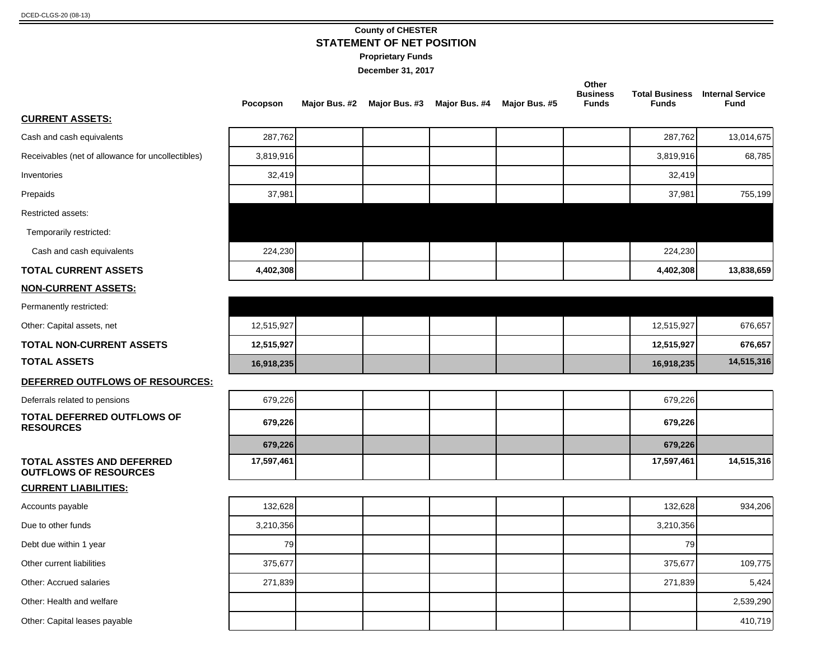#### **County of CHESTER STATEMENT OF NET POSITION**

**Proprietary Funds**

|                                                                  | Pocopson   | Major Bus. #2 | Major Bus. #3 | Major Bus. #4 | Major Bus. #5 | Other<br><b>Business</b><br><b>Funds</b> | <b>Funds</b> | <b>Total Business</b> Internal Service<br><b>Fund</b> |
|------------------------------------------------------------------|------------|---------------|---------------|---------------|---------------|------------------------------------------|--------------|-------------------------------------------------------|
| <b>CURRENT ASSETS:</b>                                           |            |               |               |               |               |                                          |              |                                                       |
| Cash and cash equivalents                                        | 287,762    |               |               |               |               |                                          | 287,762      | 13,014,675                                            |
| Receivables (net of allowance for uncollectibles)                | 3,819,916  |               |               |               |               |                                          | 3,819,916    | 68,785                                                |
| Inventories                                                      | 32,419     |               |               |               |               |                                          | 32,419       |                                                       |
| Prepaids                                                         | 37,981     |               |               |               |               |                                          | 37,981       | 755,199                                               |
| Restricted assets:                                               |            |               |               |               |               |                                          |              |                                                       |
| Temporarily restricted:                                          |            |               |               |               |               |                                          |              |                                                       |
| Cash and cash equivalents                                        | 224,230    |               |               |               |               |                                          | 224,230      |                                                       |
| <b>TOTAL CURRENT ASSETS</b>                                      | 4,402,308  |               |               |               |               |                                          | 4,402,308    | 13,838,659                                            |
| <b>NON-CURRENT ASSETS:</b>                                       |            |               |               |               |               |                                          |              |                                                       |
| Permanently restricted:                                          |            |               |               |               |               |                                          |              |                                                       |
| Other: Capital assets, net                                       | 12,515,927 |               |               |               |               |                                          | 12,515,927   | 676,657                                               |
| <b>TOTAL NON-CURRENT ASSETS</b>                                  | 12,515,927 |               |               |               |               |                                          | 12,515,927   | 676,657                                               |
| <b>TOTAL ASSETS</b>                                              | 16,918,235 |               |               |               |               |                                          | 16,918,235   | 14,515,316                                            |
| DEFERRED OUTFLOWS OF RESOURCES:                                  |            |               |               |               |               |                                          |              |                                                       |
| Deferrals related to pensions                                    | 679,226    |               |               |               |               |                                          | 679,226      |                                                       |
| <b>TOTAL DEFERRED OUTFLOWS OF</b><br><b>RESOURCES</b>            | 679,226    |               |               |               |               |                                          | 679,226      |                                                       |
|                                                                  | 679,226    |               |               |               |               |                                          | 679,226      |                                                       |
| <b>TOTAL ASSTES AND DEFERRED</b><br><b>OUTFLOWS OF RESOURCES</b> | 17,597,461 |               |               |               |               |                                          | 17,597,461   | 14,515,316                                            |
| <b>CURRENT LIABILITIES:</b>                                      |            |               |               |               |               |                                          |              |                                                       |
| Accounts payable                                                 | 132,628    |               |               |               |               |                                          | 132,628      | 934,206                                               |
| Due to other funds                                               | 3,210,356  |               |               |               |               |                                          | 3,210,356    |                                                       |
| Debt due within 1 year                                           | 79         |               |               |               |               |                                          | 79           |                                                       |
| Other current liabilities                                        | 375,677    |               |               |               |               |                                          | 375,677      | 109,775                                               |
| Other: Accrued salaries                                          | 271,839    |               |               |               |               |                                          | 271,839      | 5,424                                                 |
| Other: Health and welfare                                        |            |               |               |               |               |                                          |              | 2,539,290                                             |
| Other: Capital leases payable                                    |            |               |               |               |               |                                          |              | 410,719                                               |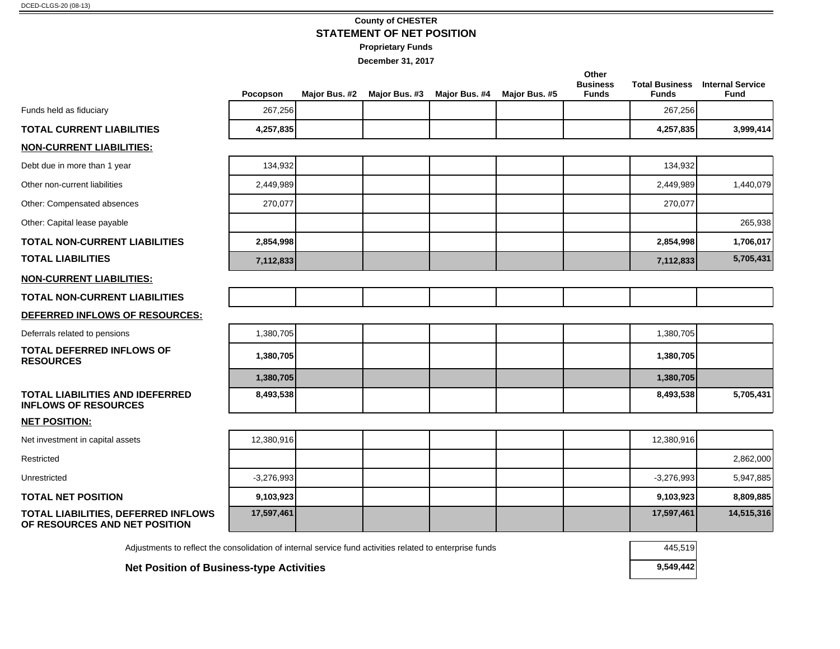#### **County of CHESTER STATEMENT OF NET POSITION**

**Proprietary Funds**

|                                                                                                          | Pocopson     | Major Bus. #2 | Major Bus. #3 | Major Bus. #4 | Major Bus. #5 | Other<br><b>Business</b><br><b>Funds</b> | <b>Funds</b> | <b>Total Business</b> Internal Service<br><b>Fund</b> |
|----------------------------------------------------------------------------------------------------------|--------------|---------------|---------------|---------------|---------------|------------------------------------------|--------------|-------------------------------------------------------|
| Funds held as fiduciary                                                                                  | 267,256      |               |               |               |               |                                          | 267,256      |                                                       |
| <b>TOTAL CURRENT LIABILITIES</b>                                                                         | 4,257,835    |               |               |               |               |                                          | 4,257,835    | 3,999,414                                             |
| <u>NON-CURRENT LIABILITIES:</u>                                                                          |              |               |               |               |               |                                          |              |                                                       |
| Debt due in more than 1 year                                                                             | 134,932      |               |               |               |               |                                          | 134,932      |                                                       |
| Other non-current liabilities                                                                            | 2,449,989    |               |               |               |               |                                          | 2,449,989    | 1,440,079                                             |
| Other: Compensated absences                                                                              | 270,077      |               |               |               |               |                                          | 270,077      |                                                       |
| Other: Capital lease payable                                                                             |              |               |               |               |               |                                          |              | 265,938                                               |
| TOTAL NON-CURRENT LIABILITIES                                                                            | 2,854,998    |               |               |               |               |                                          | 2,854,998    | 1,706,017                                             |
| <b>TOTAL LIABILITIES</b>                                                                                 | 7,112,833    |               |               |               |               |                                          | 7,112,833    | 5,705,431                                             |
| <u>NON-CURRENT LIABILITIES:</u>                                                                          |              |               |               |               |               |                                          |              |                                                       |
| TOTAL NON-CURRENT LIABILITIES                                                                            |              |               |               |               |               |                                          |              |                                                       |
| DEFERRED INFLOWS OF RESOURCES:                                                                           |              |               |               |               |               |                                          |              |                                                       |
| Deferrals related to pensions                                                                            | 1,380,705    |               |               |               |               |                                          | 1,380,705    |                                                       |
| TOTAL DEFERRED INFLOWS OF<br><b>RESOURCES</b>                                                            | 1,380,705    |               |               |               |               |                                          | 1,380,705    |                                                       |
|                                                                                                          | 1,380,705    |               |               |               |               |                                          | 1,380,705    |                                                       |
| TOTAL LIABILITIES AND IDEFERRED<br><b>INFLOWS OF RESOURCES</b>                                           | 8,493,538    |               |               |               |               |                                          | 8,493,538    | 5,705,431                                             |
| <b>NET POSITION:</b>                                                                                     |              |               |               |               |               |                                          |              |                                                       |
| Net investment in capital assets                                                                         | 12,380,916   |               |               |               |               |                                          | 12,380,916   |                                                       |
| Restricted                                                                                               |              |               |               |               |               |                                          |              | 2,862,000                                             |
| Unrestricted                                                                                             | $-3,276,993$ |               |               |               |               |                                          | $-3,276,993$ | 5,947,885                                             |
| <b>TOTAL NET POSITION</b>                                                                                | 9,103,923    |               |               |               |               |                                          | 9,103,923    | 8,809,885                                             |
| TOTAL LIABILITIES, DEFERRED INFLOWS<br>OF RESOURCES AND NET POSITION                                     | 17,597,461   |               |               |               |               |                                          | 17,597,461   | 14,515,316                                            |
| Adjustments to reflect the consolidation of internal service fund activities related to enterprise funds |              |               |               |               |               |                                          | 445,519      |                                                       |
| <b>Net Position of Business-type Activities</b>                                                          |              |               |               |               |               |                                          | 9,549,442    |                                                       |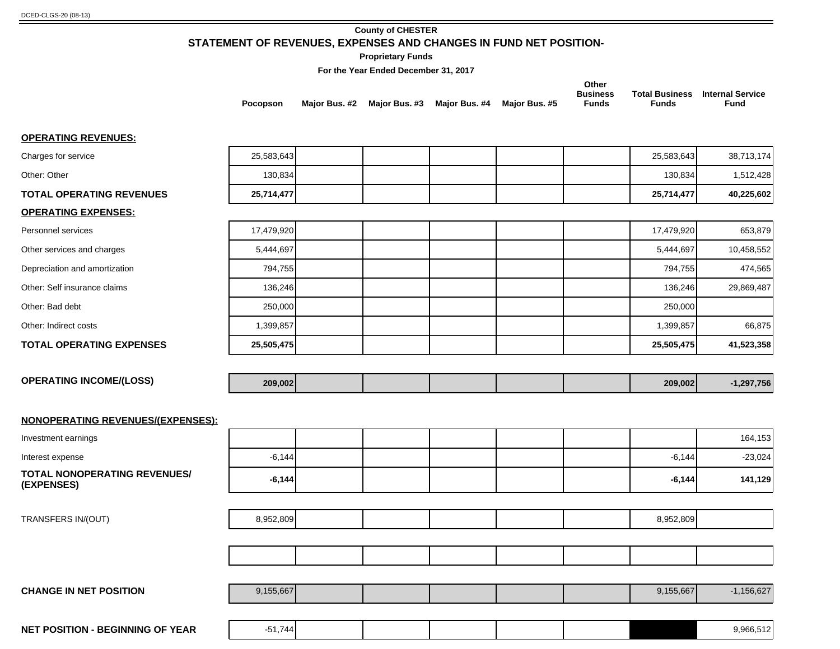#### **County of CHESTER STATEMENT OF REVENUES, EXPENSES AND CHANGES IN FUND NET POSITION-**

**Proprietary Funds**

**For the Year Ended December 31, 2017**

|                                            | Pocopson   |  | Major Bus. #2 Major Bus. #3 Major Bus. #4 Major Bus. #5 | Other<br><b>Business</b><br><b>Funds</b> | <b>Funds</b> | <b>Total Business</b> Internal Service<br><b>Fund</b> |
|--------------------------------------------|------------|--|---------------------------------------------------------|------------------------------------------|--------------|-------------------------------------------------------|
| <b>OPERATING REVENUES:</b>                 |            |  |                                                         |                                          |              |                                                       |
| Charges for service                        | 25,583,643 |  |                                                         |                                          | 25,583,643   | 38,713,174                                            |
| Other: Other                               | 130,834    |  |                                                         |                                          | 130,834      | 1,512,428                                             |
| <b>TOTAL OPERATING REVENUES</b>            | 25,714,477 |  |                                                         |                                          | 25,714,477   | 40,225,602                                            |
| <b>OPERATING EXPENSES:</b>                 |            |  |                                                         |                                          |              |                                                       |
| Personnel services                         | 17,479,920 |  |                                                         |                                          | 17,479,920   | 653,879                                               |
| Other services and charges                 | 5,444,697  |  |                                                         |                                          | 5,444,697    | 10,458,552                                            |
| Depreciation and amortization              | 794,755    |  |                                                         |                                          | 794,755      | 474,565                                               |
| Other: Self insurance claims               | 136,246    |  |                                                         |                                          | 136,246      | 29,869,487                                            |
| Other: Bad debt                            | 250,000    |  |                                                         |                                          | 250,000      |                                                       |
| Other: Indirect costs                      | 1,399,857  |  |                                                         |                                          | 1,399,857    | 66,875                                                |
| <b>TOTAL OPERATING EXPENSES</b>            | 25,505,475 |  |                                                         |                                          | 25,505,475   | 41,523,358                                            |
|                                            |            |  |                                                         |                                          |              |                                                       |
| <b>OPERATING INCOME/(LOSS)</b>             | 209,002    |  |                                                         |                                          | 209,002      | $-1,297,756$                                          |
| NONOPERATING REVENUES/(EXPENSES):          |            |  |                                                         |                                          |              |                                                       |
| Investment earnings                        |            |  |                                                         |                                          |              | 164,153                                               |
| Interest expense                           | $-6,144$   |  |                                                         |                                          | $-6,144$     | $-23,024$                                             |
| TOTAL NONOPERATING REVENUES/<br>(EXPENSES) | $-6,144$   |  |                                                         |                                          | $-6,144$     | 141,129                                               |
|                                            |            |  |                                                         |                                          |              |                                                       |
| TRANSFERS IN/(OUT)                         | 8,952,809  |  |                                                         |                                          | 8,952,809    |                                                       |
|                                            |            |  |                                                         |                                          |              |                                                       |
|                                            |            |  |                                                         |                                          |              |                                                       |
|                                            |            |  |                                                         |                                          |              |                                                       |
| <b>CHANGE IN NET POSITION</b>              | 9,155,667  |  |                                                         |                                          | 9,155,667    | $-1,156,627$                                          |
|                                            |            |  |                                                         |                                          |              |                                                       |

**NET POSITION - BEGINNING OF YEAR**  $\begin{vmatrix} -51,744 \end{vmatrix}$   $\begin{vmatrix} 1 & 1 \end{vmatrix}$   $\begin{vmatrix} 1 & 1 \end{vmatrix}$   $\begin{vmatrix} 1 & 1 \end{vmatrix}$  9,966,512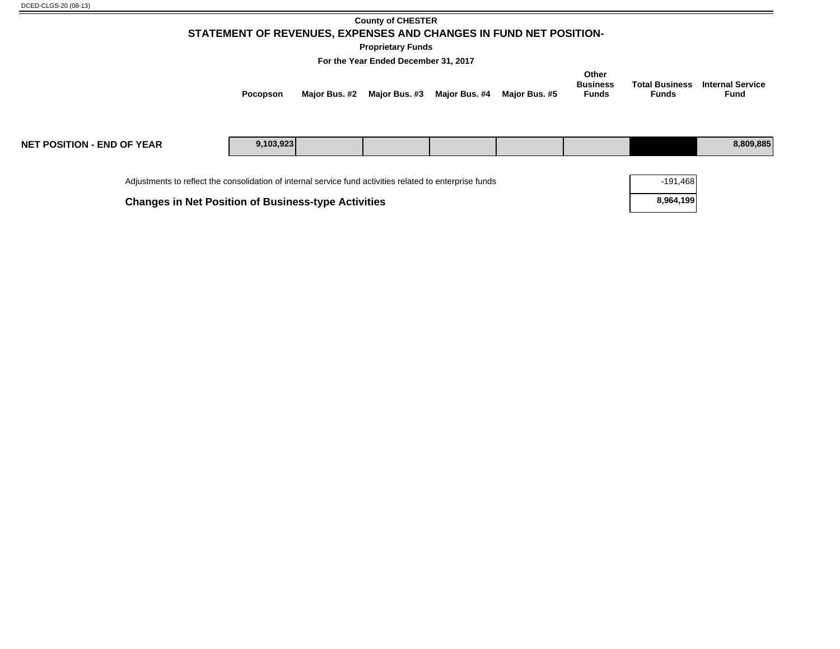#### **County of CHESTER STATEMENT OF REVENUES, EXPENSES AND CHANGES IN FUND NET POSITION-**

**Proprietary Funds**

**For the Year Ended December 31, 2017**

| Pocopson |  | Major Bus. #2 Major Bus. #3 Major Bus. #4 Major Bus. #5 | Other<br><b>Business</b><br><b>Funds</b> | <b>Funds</b> | <b>Total Business</b> Internal Service<br><b>Fund</b> |
|----------|--|---------------------------------------------------------|------------------------------------------|--------------|-------------------------------------------------------|
|          |  |                                                         |                                          |              |                                                       |

| <b>NET POSITION - END OF YEAR</b>                                                                        | 9,103,923 |  |  |  |  |  |  | 8,809,885  |
|----------------------------------------------------------------------------------------------------------|-----------|--|--|--|--|--|--|------------|
| Adjustments to reflect the consolidation of internal service fund activities related to enterprise funds |           |  |  |  |  |  |  | $-191,468$ |

**Changes in Net Position of Business-type Activities <b>8,964,199 8,964,199**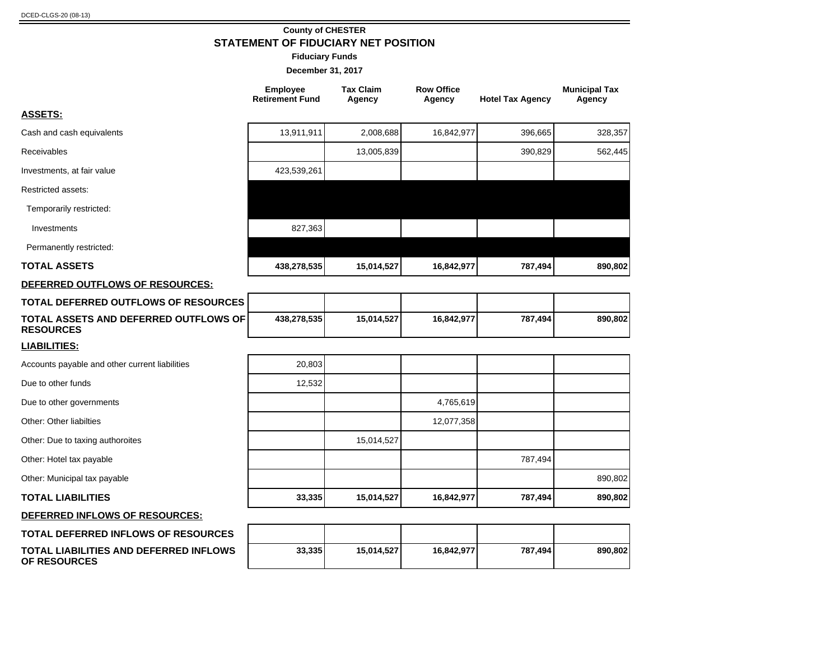**OF RESOURCES**

#### **County of CHESTER STATEMENT OF FIDUCIARY NET POSITION**

**Fiduciary Funds**

|                                                           | <b>Employee</b><br><b>Retirement Fund</b> | <b>Tax Claim</b><br>Agency | <b>Row Office</b><br>Agency | <b>Hotel Tax Agency</b> | <b>Municipal Tax</b><br>Agency |
|-----------------------------------------------------------|-------------------------------------------|----------------------------|-----------------------------|-------------------------|--------------------------------|
| <b>ASSETS:</b>                                            |                                           |                            |                             |                         |                                |
| Cash and cash equivalents                                 | 13,911,911                                | 2,008,688                  | 16,842,977                  | 396,665                 | 328,357                        |
| Receivables                                               |                                           | 13,005,839                 |                             | 390,829                 | 562,445                        |
| Investments, at fair value                                | 423,539,261                               |                            |                             |                         |                                |
| <b>Restricted assets:</b>                                 |                                           |                            |                             |                         |                                |
| Temporarily restricted:                                   |                                           |                            |                             |                         |                                |
| Investments                                               | 827,363                                   |                            |                             |                         |                                |
| Permanently restricted:                                   |                                           |                            |                             |                         |                                |
| <b>TOTAL ASSETS</b>                                       | 438,278,535                               | 15,014,527                 | 16,842,977                  | 787,494                 | 890,802                        |
| DEFERRED OUTFLOWS OF RESOURCES:                           |                                           |                            |                             |                         |                                |
| <b>TOTAL DEFERRED OUTFLOWS OF RESOURCES</b>               |                                           |                            |                             |                         |                                |
| TOTAL ASSETS AND DEFERRED OUTFLOWS OF<br><b>RESOURCES</b> | 438,278,535                               | 15,014,527                 | 16,842,977                  | 787,494                 | 890,802                        |
| <b>LIABILITIES:</b>                                       |                                           |                            |                             |                         |                                |
| Accounts payable and other current liabilities            | 20,803                                    |                            |                             |                         |                                |
| Due to other funds                                        | 12,532                                    |                            |                             |                         |                                |
| Due to other governments                                  |                                           |                            | 4,765,619                   |                         |                                |
| Other: Other liabilties                                   |                                           |                            | 12,077,358                  |                         |                                |
| Other: Due to taxing authoroites                          |                                           | 15,014,527                 |                             |                         |                                |
| Other: Hotel tax payable                                  |                                           |                            |                             | 787,494                 |                                |
| Other: Municipal tax payable                              |                                           |                            |                             |                         | 890,802                        |
| <b>TOTAL LIABILITIES</b>                                  | 33,335                                    | 15,014,527                 | 16,842,977                  | 787,494                 | 890,802                        |
| DEFERRED INFLOWS OF RESOURCES:                            |                                           |                            |                             |                         |                                |
| TOTAL DEFERRED INFLOWS OF RESOURCES                       |                                           |                            |                             |                         |                                |
| TOTAL LIABILITIES AND DEFERRED INFLOWS                    | 33,335                                    | 15,014,527                 | 16,842,977                  | 787,494                 | 890,802                        |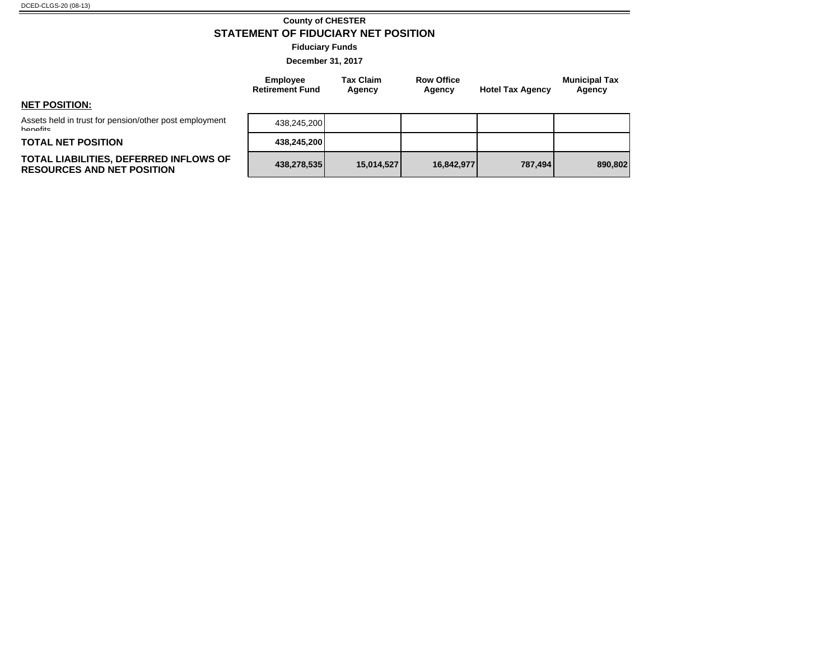#### **County of CHESTER STATEMENT OF FIDUCIARY NET POSITION**

**Fiduciary Funds**

**December 31, 2017**

**Tax Claim Agency**

**Employee Retirement Fund**

| <b>NET POSITION:</b> |  |
|----------------------|--|

Assets held in trust for pension/other post employment **banafite** 

**TOTAL NET POSITION 438,245,200**

#### **TOTAL LIABILITIES, DEFERRED INFLOWS OF RESOURCES AND NET POSITION 438,278,535 15,014,527 16,842,977 787,494 890,802**

|         |         |            |            | 438,245,200 |
|---------|---------|------------|------------|-------------|
|         |         |            |            | 438,245,200 |
| 890,802 | 787,494 | 16,842,977 | 15,014,527 | 438,278,535 |

**Row Office** 

**Agency Hotel Tax Agency**

**Municipal Tax Agency**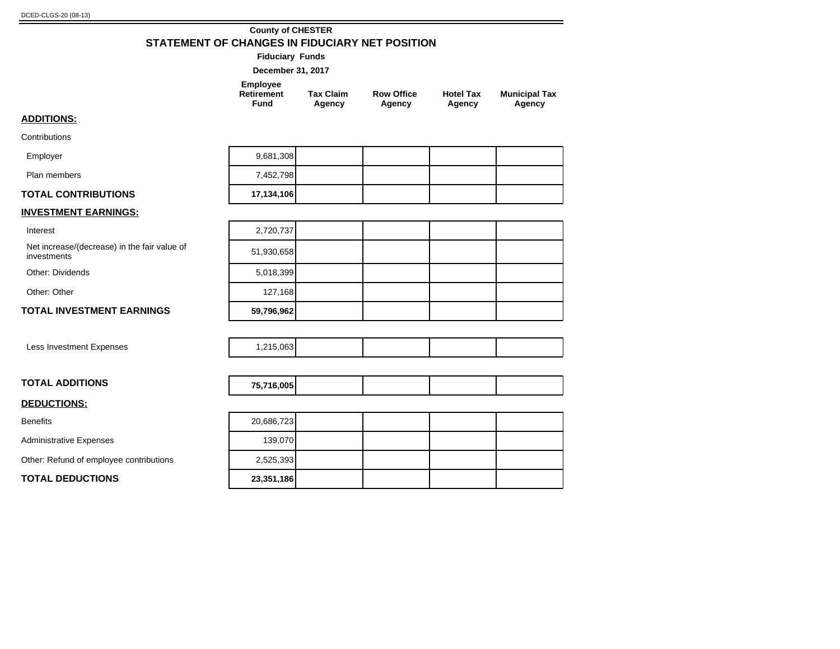#### **County of CHESTER STATEMENT OF CHANGES IN FIDUCIARY NET POSITION**

**Fiduciary Funds**

| December 31, 2017 |  |  |
|-------------------|--|--|
|-------------------|--|--|

| Employee<br>Retirement | <b>Tax Claim</b> | <b>Row Office</b> | <b>Hotel Tax</b> | <b>Municipal Tax</b> |
|------------------------|------------------|-------------------|------------------|----------------------|
| Fund                   | Agency           | Agency            | Agency           | Agency               |

#### **ADDITIONS:**

**Contributions** Employer

| Employer                   | 9,681,308  |  |  |
|----------------------------|------------|--|--|
| Plan members               | 7,452,798  |  |  |
| <b>TOTAL CONTRIBUTIONS</b> | 17,134,106 |  |  |

#### **INVESTMENT EARNINGS:**

Interest

Net increase/(decrease) in the fair value of investments 51,930,658

Other: Dividends

Other: Other

#### **TOTAL INVESTMENT EARNINGS**

Less Investment Expenses 1,215,063

| <b>TOTAL ADDITIONS</b> | 75,716,005 |
|------------------------|------------|
|------------------------|------------|

#### **DEDUCTIONS:**

Benefits

Administrative Expenses

Other: Refund of employee contributions

**TOTAL DEDUCTIONS 23,351,186**

| 17,134,106 |  |  |
|------------|--|--|
|            |  |  |
| 2,720,737  |  |  |
| 51,930,658 |  |  |
| 5,018,399  |  |  |
| 127,168    |  |  |
| 59,796,962 |  |  |

| EE TAA AAFL |  |  |
|-------------|--|--|
|             |  |  |
|             |  |  |

| 20,686,723 |  |  |
|------------|--|--|
| 139,070    |  |  |
| 2,525,393  |  |  |
| 23,351,186 |  |  |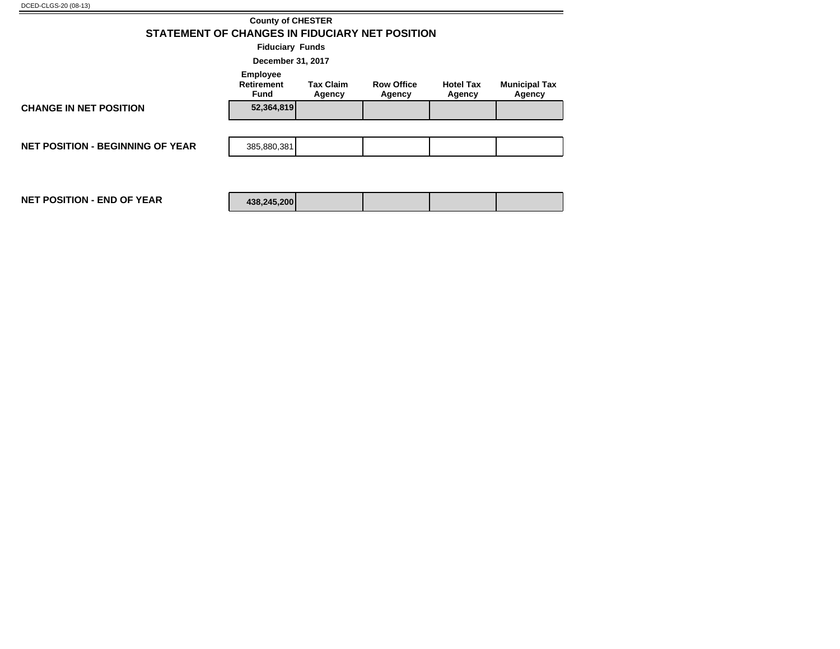|                                                | <b>County of CHESTER</b>                     |                            |                             |                            |                                |  |  |  |  |  |
|------------------------------------------------|----------------------------------------------|----------------------------|-----------------------------|----------------------------|--------------------------------|--|--|--|--|--|
| STATEMENT OF CHANGES IN FIDUCIARY NET POSITION |                                              |                            |                             |                            |                                |  |  |  |  |  |
| <b>Fiduciary Funds</b>                         |                                              |                            |                             |                            |                                |  |  |  |  |  |
| December 31, 2017                              |                                              |                            |                             |                            |                                |  |  |  |  |  |
|                                                | <b>Employee</b><br><b>Retirement</b><br>Fund | <b>Tax Claim</b><br>Agency | <b>Row Office</b><br>Agency | <b>Hotel Tax</b><br>Agency | <b>Municipal Tax</b><br>Agency |  |  |  |  |  |
| <b>CHANGE IN NET POSITION</b>                  | 52,364,819                                   |                            |                             |                            |                                |  |  |  |  |  |
|                                                |                                              |                            |                             |                            |                                |  |  |  |  |  |
| <b>NET POSITION - BEGINNING OF YEAR</b>        | 385,880,381                                  |                            |                             |                            |                                |  |  |  |  |  |
|                                                |                                              |                            |                             |                            |                                |  |  |  |  |  |
| <b>NET POSITION - END OF YEAR</b>              | 438,245,200                                  |                            |                             |                            |                                |  |  |  |  |  |

÷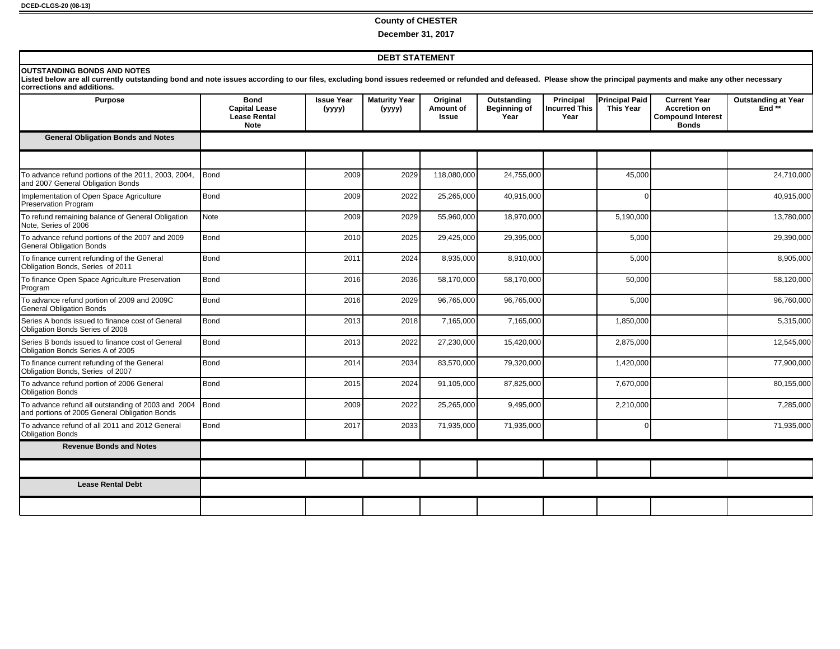#### **County of CHESTER**

**December 31, 2017**

#### **DEBT STATEMENT**

#### **OUTSTANDING BONDS AND NOTES**

Listed below are all currently outstanding bond and note issues according to our files, excluding bond issues redeemed or refunded and defeased. Please show the principal payments and make any other necessary<br>corrections

| Purpose                                                                                             | <b>Bond</b><br><b>Capital Lease</b><br><b>Lease Rental</b><br><b>Note</b> | <b>Issue Year</b><br>(yyyy) | <b>Maturity Year</b><br>(yyyy) | Original<br>Amount of<br><b>Issue</b> | Outstanding<br><b>Beginning of</b><br>Year | <b>Principal</b><br><b>Incurred This</b><br>Year | <b>Principal Paid</b><br><b>This Year</b> | <b>Current Year</b><br><b>Accretion on</b><br><b>Compound Interest</b><br><b>Bonds</b> | <b>Outstanding at Year</b><br>End** |
|-----------------------------------------------------------------------------------------------------|---------------------------------------------------------------------------|-----------------------------|--------------------------------|---------------------------------------|--------------------------------------------|--------------------------------------------------|-------------------------------------------|----------------------------------------------------------------------------------------|-------------------------------------|
| <b>General Obligation Bonds and Notes</b>                                                           |                                                                           |                             |                                |                                       |                                            |                                                  |                                           |                                                                                        |                                     |
|                                                                                                     |                                                                           |                             |                                |                                       |                                            |                                                  |                                           |                                                                                        |                                     |
| To advance refund portions of the 2011, 2003, 2004,<br>and 2007 General Obligation Bonds            | Bond                                                                      | 2009                        | 2029                           | 118,080,000                           | 24,755,000                                 |                                                  | 45,000                                    |                                                                                        | 24,710,000                          |
| Implementation of Open Space Agriculture<br>Preservation Program                                    | Bond                                                                      | 2009                        | 2022                           | 25,265,000                            | 40,915,000                                 |                                                  | $\Omega$                                  |                                                                                        | 40,915,000                          |
| To refund remaining balance of General Obligation<br>Note, Series of 2006                           | <b>Note</b>                                                               | 2009                        | 2029                           | 55,960,000                            | 18,970,000                                 |                                                  | 5,190,000                                 |                                                                                        | 13,780,000                          |
| To advance refund portions of the 2007 and 2009<br><b>General Obligation Bonds</b>                  | Bond                                                                      | 2010                        | 2025                           | 29,425,000                            | 29,395,000                                 |                                                  | 5,000                                     |                                                                                        | 29,390,000                          |
| To finance current refunding of the General<br>Obligation Bonds, Series of 2011                     | Bond                                                                      | 2011                        | 2024                           | 8,935,000                             | 8,910,000                                  |                                                  | 5,000                                     |                                                                                        | 8,905,000                           |
| To finance Open Space Agriculture Preservation<br>Program                                           | Bond                                                                      | 2016                        | 2036                           | 58,170,000                            | 58,170,000                                 |                                                  | 50,000                                    |                                                                                        | 58,120,000                          |
| To advance refund portion of 2009 and 2009C<br><b>General Obligation Bonds</b>                      | Bond                                                                      | 2016                        | 2029                           | 96,765,000                            | 96,765,000                                 |                                                  | 5,000                                     |                                                                                        | 96,760,000                          |
| Series A bonds issued to finance cost of General<br>Obligation Bonds Series of 2008                 | Bond                                                                      | 2013                        | 2018                           | 7,165,000                             | 7,165,000                                  |                                                  | 1,850,000                                 |                                                                                        | 5,315,000                           |
| Series B bonds issued to finance cost of General<br>Obligation Bonds Series A of 2005               | Bond                                                                      | 2013                        | 2022                           | 27,230,000                            | 15,420,000                                 |                                                  | 2,875,000                                 |                                                                                        | 12,545,000                          |
| To finance current refunding of the General<br>Obligation Bonds, Series of 2007                     | Bond                                                                      | 2014                        | 2034                           | 83,570,000                            | 79,320,000                                 |                                                  | 1,420,000                                 |                                                                                        | 77,900,000                          |
| To advance refund portion of 2006 General<br><b>Obligation Bonds</b>                                | Bond                                                                      | 2015                        | 2024                           | 91,105,000                            | 87,825,000                                 |                                                  | 7,670,000                                 |                                                                                        | 80,155,000                          |
| To advance refund all outstanding of 2003 and 2004<br>and portions of 2005 General Obligation Bonds | <b>Bond</b>                                                               | 2009                        | 2022                           | 25,265,000                            | 9,495,000                                  |                                                  | 2,210,000                                 |                                                                                        | 7,285,000                           |
| To advance refund of all 2011 and 2012 General<br><b>Obligation Bonds</b>                           | Bond                                                                      | 2017                        | 2033                           | 71,935,000                            | 71,935,000                                 |                                                  | $\mathbf 0$                               |                                                                                        | 71,935,000                          |
| <b>Revenue Bonds and Notes</b>                                                                      |                                                                           |                             |                                |                                       |                                            |                                                  |                                           |                                                                                        |                                     |
|                                                                                                     |                                                                           |                             |                                |                                       |                                            |                                                  |                                           |                                                                                        |                                     |
| <b>Lease Rental Debt</b>                                                                            |                                                                           |                             |                                |                                       |                                            |                                                  |                                           |                                                                                        |                                     |
|                                                                                                     |                                                                           |                             |                                |                                       |                                            |                                                  |                                           |                                                                                        |                                     |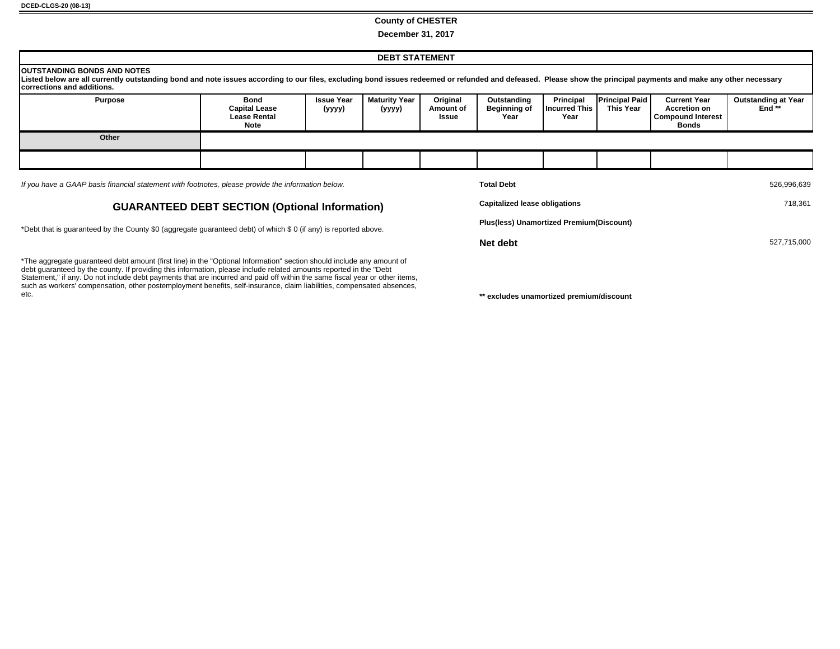#### **County of CHESTER**

**December 31, 2017**

| <b>DEBT STATEMENT</b>                                                                                                                                                                                                                                                                         |                                                             |                             |                           |                                |                                            |                                                   |                                    |                                                                                 |                                      |
|-----------------------------------------------------------------------------------------------------------------------------------------------------------------------------------------------------------------------------------------------------------------------------------------------|-------------------------------------------------------------|-----------------------------|---------------------------|--------------------------------|--------------------------------------------|---------------------------------------------------|------------------------------------|---------------------------------------------------------------------------------|--------------------------------------|
| <b>IOUTSTANDING BONDS AND NOTES</b><br>Listed below are all currently outstanding bond and note issues according to our files, excluding bond issues redeemed or refunded and defeased. Please show the principal payments and make any other necessary<br><b>Icorrections and additions.</b> |                                                             |                             |                           |                                |                                            |                                                   |                                    |                                                                                 |                                      |
| <b>Purpose</b>                                                                                                                                                                                                                                                                                | Bond<br><b>Capital Lease</b><br><b>Lease Rental</b><br>Note | <b>Issue Year</b><br>(уууу) | Maturity Year  <br>(yyyy) | Original<br>Amount of<br>Issue | Outstanding<br><b>Beginning of</b><br>Year | <b>Principal</b><br><b>'Incurred This</b><br>Year | <b>Principal Paid</b><br>This Year | <b>Current Year</b><br><b>Accretion on</b><br><b>Compound Interest</b><br>Bonds | <b>Outstanding at Year</b><br>End ** |
| Other                                                                                                                                                                                                                                                                                         |                                                             |                             |                           |                                |                                            |                                                   |                                    |                                                                                 |                                      |
|                                                                                                                                                                                                                                                                                               |                                                             |                             |                           |                                |                                            |                                                   |                                    |                                                                                 |                                      |
| If you have a GAAP basis financial statement with footnotes, please provide the information below.                                                                                                                                                                                            |                                                             |                             |                           |                                | <b>Total Debt</b>                          |                                                   |                                    |                                                                                 | 526,996,639                          |

#### **GUARANTEED DEBT SECTION (Optional Information)**

\*Debt that is guaranteed by the County \$0 (aggregate guaranteed debt) of which \$ 0 (if any) is reported above.

\*The aggregate guaranteed debt amount (first line) in the "Optional Information" section should include any amount of debt guaranteed by the county. If providing this information, please include related amounts reported in the "Debt Statement," if any. Do not include debt payments that are incurred and paid off within the same fiscal year or other items, such as workers' compensation, other postemployment benefits, self-insurance, claim liabilities, compensated absences,<br>etc.

| <b>Total Debt</b>                        | 526,996,639 |
|------------------------------------------|-------------|
| <b>Capitalized lease obligations</b>     | 718.361     |
| Plus(less) Unamortized Premium(Discount) |             |
| Net debt                                 | 527,715,000 |

\*\* excludes unamortized premium/discount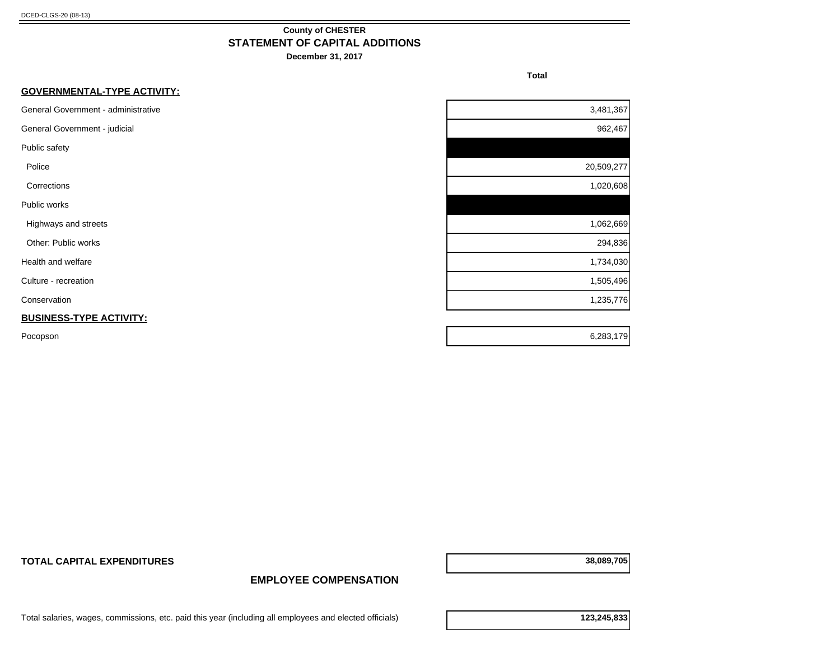#### **County of CHESTER STATEMENT OF CAPITAL ADDITIONS**

**December 31, 2017**

**Total** 

| <b>GOVERNMENTAL-TYPE ACTIVITY:</b>  |            |
|-------------------------------------|------------|
| General Government - administrative | 3,481,367  |
| General Government - judicial       | 962,467    |
| Public safety                       |            |
| Police                              | 20,509,277 |
| Corrections                         | 1,020,608  |
| Public works                        |            |
| Highways and streets                | 1,062,669  |
| Other: Public works                 | 294,836    |
| Health and welfare                  | 1,734,030  |
| Culture - recreation                | 1,505,496  |
| Conservation                        | 1,235,776  |
| <b>BUSINESS-TYPE ACTIVITY:</b>      |            |
| Pocopson                            | 6,283,179  |

**TOTAL CAPITAL EXPENDITURES 38,089,705**

**EMPLOYEE COMPENSATION**

Total salaries, wages, commissions, etc. paid this year (including all employees and elected officials) **123,245,833**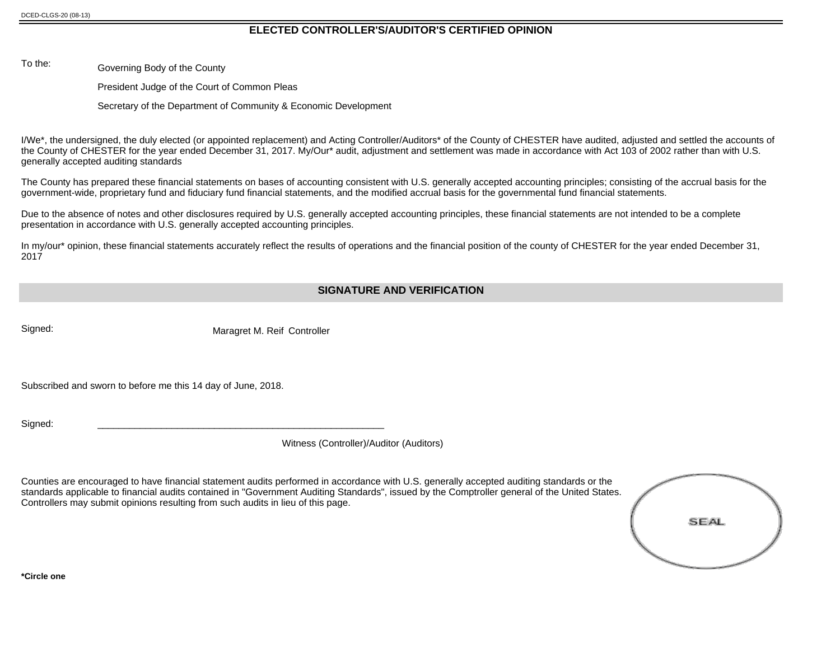#### **ELECTED CONTROLLER'S/AUDITOR'S CERTIFIED OPINION**

To the: Governing Body of the County

President Judge of the Court of Common Pleas

Secretary of the Department of Community & Economic Development

I/We\*, the undersigned, the duly elected (or appointed replacement) and Acting Controller/Auditors\* of the County of CHESTER have audited, adjusted and settled the accounts of the County of CHESTER for the year ended December 31, 2017. My/Our\* audit, adjustment and settlement was made in accordance with Act 103 of 2002 rather than with U.S. generally accepted auditing standards

The County has prepared these financial statements on bases of accounting consistent with U.S. generally accepted accounting principles; consisting of the accrual basis for the government-wide, proprietary fund and fiduciary fund financial statements, and the modified accrual basis for the governmental fund financial statements.

Due to the absence of notes and other disclosures required by U.S. generally accepted accounting principles, these financial statements are not intended to be a complete presentation in accordance with U.S. generally accepted accounting principles.

In my/our\* opinion, these financial statements accurately reflect the results of operations and the financial position of the county of CHESTER for the year ended December 31, 2017

#### **SIGNATURE AND VERIFICATION**

Signed: Signed: Maragret M. Reif Controller

Subscribed and sworn to before me this 14 day of June, 2018.

Signed: \_\_\_\_\_\_\_\_\_\_\_\_\_\_\_\_\_\_\_\_\_\_\_\_\_\_\_\_\_\_\_\_\_\_\_\_\_\_\_\_\_\_\_\_\_\_\_\_\_\_\_\_\_\_

Witness (Controller)/Auditor (Auditors)

Counties are encouraged to have financial statement audits performed in accordance with U.S. generally accepted auditing standards or the standards applicable to financial audits contained in "Government Auditing Standards", issued by the Comptroller general of the United States. Controllers may submit opinions resulting from such audits in lieu of this page.

| SEAL |
|------|
|      |

**\*Circle one**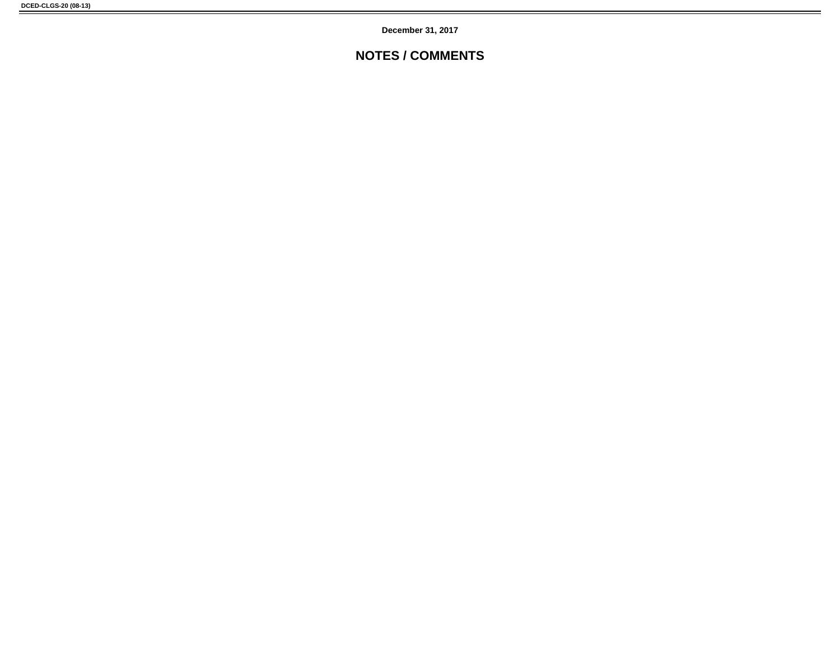**December 31, 2017**

### **NOTES / COMMENTS**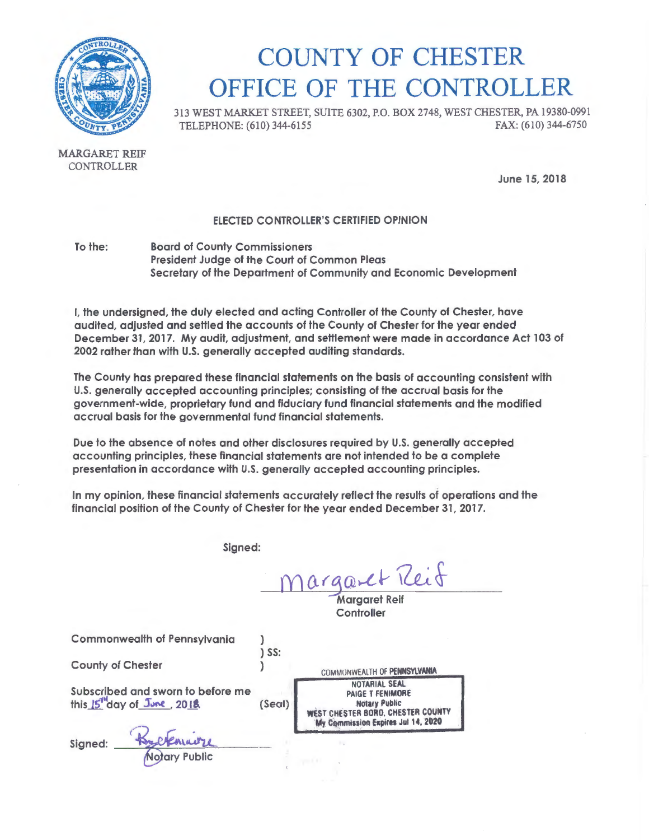

## COUNTY OF CHESTER OFFICE OF THE CONTROLLER

313 WEST MARKET STREET, SUITE 6302, P.O. BOX 2748, WEST CHESTER, PA 19380-0991 TELEPHONE: (610) 344-6155

MARGARET REIF CONTROLLER

June 15, 2018

#### ELECTED CONTROLLER'S CERTIFIED OPINION

To the: Board of County Commissioners President Judge of the Court of Common Pleas Secretary of the Department of Community and Economic Development

I, the undersigned, the duly elected and acting Controller of the County of Chester, have audited, adjusted and settled the accounts of the County of Chester for the year ended December 31, 2017. My audit, adjustment, and settlement were made in accordance Act 103 of 2002 rather than with U.S. generally accepted auditing standards.

The County has prepared these financial statements on the basis of accounting consistent with U.S. generally accepted accounting principles; consisting of the accrual basis for the government-wide, proprietary fund and fiduciary fund financial statements and the modified accrual basis for the governmental fund financial statements.

Due to the absence of notes and other disclosures required by U.S. generally accepted accounting principles, these financial statements are not intended to be a complete presentation in accordance with U.S. generally accepted accounting principles.

In my opinion, these financial statements accurately reflect the results of operations and the financial position of the County of Chester for the year ended December 31, 2017.

Signed:

) ) SS: )

regaret Reif

Margaret Reif **Controller** 

Commonwealth of Pennsylvania

County of Chester

Subscribed and sworn to before me this 15<sup>th</sup>day of June, 2018.

Signed: Recommended Notary Public

(Seal) COMMONWEALTH OF PENNSYLVANIA NOTARIAL SEAL PAIGE T FENIMORE Notary Public<br>WEST CHESTER BORO, CHESTER COUNTY **My Commission Expires Jul 14, 2020**